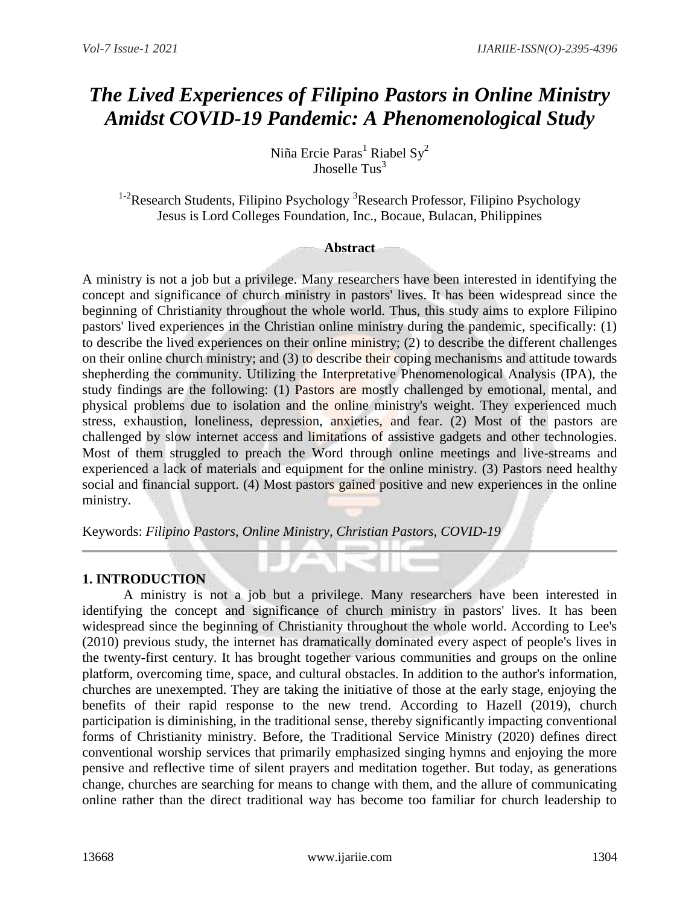# *The Lived Experiences of Filipino Pastors in Online Ministry Amidst COVID-19 Pandemic: A Phenomenological Study*

Niña Ercie Paras<sup>1</sup> Riabel Sy<sup>2</sup> Jhoselle  $Tus<sup>3</sup>$ 

<sup>1-2</sup>Research Students, Filipino Psychology<sup>3</sup>Research Professor, Filipino Psychology Jesus is Lord Colleges Foundation, Inc., Bocaue, Bulacan, Philippines

### **Abstract**

A ministry is not a job but a privilege. Many researchers have been interested in identifying the concept and significance of church ministry in pastors' lives. It has been widespread since the beginning of Christianity throughout the whole world. Thus, this study aims to explore Filipino pastors' lived experiences in the Christian online ministry during the pandemic, specifically: (1) to describe the lived experiences on their online ministry; (2) to describe the different challenges on their online church ministry; and (3) to describe their coping mechanisms and attitude towards shepherding the community. Utilizing the Interpretative Phenomenological Analysis (IPA), the study findings are the following: (1) Pastors are mostly challenged by emotional, mental, and physical problems due to isolation and the online ministry's weight. They experienced much stress, exhaustion, loneliness, depression, anxieties, and fear. (2) Most of the pastors are challenged by slow internet access and limitations of assistive gadgets and other technologies. Most of them struggled to preach the Word through online meetings and live-streams and experienced a lack of materials and equipment for the online ministry. (3) Pastors need healthy social and financial support. (4) Most pastors gained positive and new experiences in the online ministry.

Keywords: *Filipino Pastors, Online Ministry, Christian Pastors, COVID-19*

# **1. INTRODUCTION**

A ministry is not a job but a privilege. Many researchers have been interested in identifying the concept and significance of church ministry in pastors' lives. It has been widespread since the beginning of Christianity throughout the whole world. According to Lee's (2010) previous study, the internet has dramatically dominated every aspect of people's lives in the twenty-first century. It has brought together various communities and groups on the online platform, overcoming time, space, and cultural obstacles. In addition to the author's information, churches are unexempted. They are taking the initiative of those at the early stage, enjoying the benefits of their rapid response to the new trend. According to Hazell (2019), church participation is diminishing, in the traditional sense, thereby significantly impacting conventional forms of Christianity ministry. Before, the Traditional Service Ministry (2020) defines direct conventional worship services that primarily emphasized singing hymns and enjoying the more pensive and reflective time of silent prayers and meditation together. But today, as generations change, churches are searching for means to change with them, and the allure of communicating online rather than the direct traditional way has become too familiar for church leadership to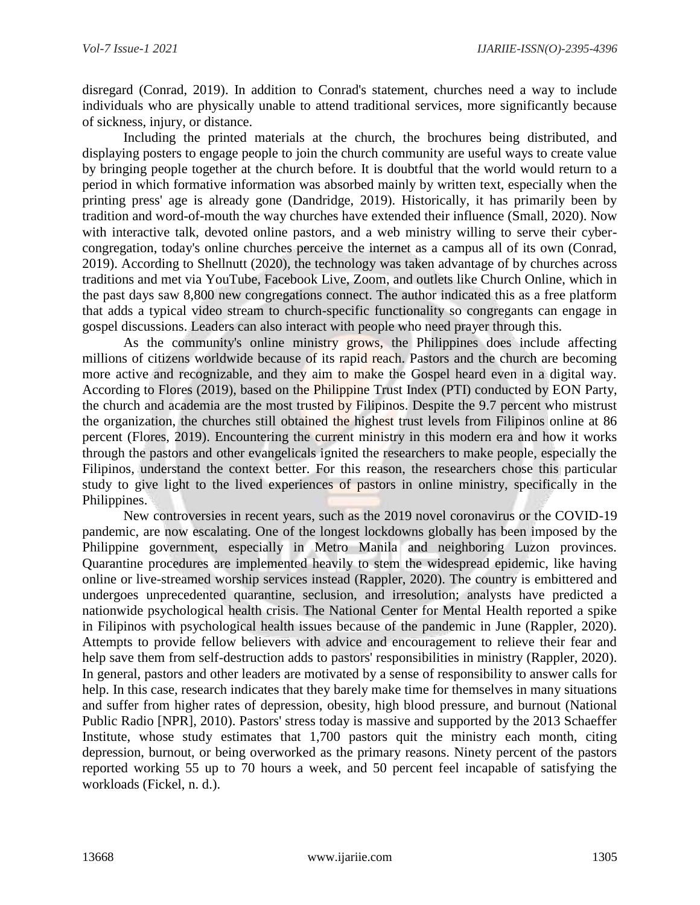disregard (Conrad, 2019). In addition to Conrad's statement, churches need a way to include individuals who are physically unable to attend traditional services, more significantly because of sickness, injury, or distance.

Including the printed materials at the church, the brochures being distributed, and displaying posters to engage people to join the church community are useful ways to create value by bringing people together at the church before. It is doubtful that the world would return to a period in which formative information was absorbed mainly by written text, especially when the printing press' age is already gone (Dandridge, 2019). Historically, it has primarily been by tradition and word-of-mouth the way churches have extended their influence (Small, 2020). Now with interactive talk, devoted online pastors, and a web ministry willing to serve their cybercongregation, today's online churches perceive the internet as a campus all of its own (Conrad, 2019). According to Shellnutt (2020), the technology was taken advantage of by churches across traditions and met via YouTube, Facebook Live, Zoom, and outlets like Church Online, which in the past days saw 8,800 new congregations connect. The author indicated this as a free platform that adds a typical video stream to church-specific functionality so congregants can engage in gospel discussions. Leaders can also interact with people who need prayer through this.

As the community's online ministry grows, the Philippines does include affecting millions of citizens worldwide because of its rapid reach. Pastors and the church are becoming more active and recognizable, and they aim to make the Gospel heard even in a digital way. According to Flores (2019), based on the Philippine Trust Index (PTI) conducted by EON Party, the church and academia are the most trusted by Filipinos. Despite the 9.7 percent who mistrust the organization, the churches still obtained the highest trust levels from Filipinos online at 86 percent (Flores, 2019). Encountering the current ministry in this modern era and how it works through the pastors and other evangelicals ignited the researchers to make people, especially the Filipinos, understand the context better. For this reason, the researchers chose this particular study to give light to the lived experiences of pastors in online ministry, specifically in the Philippines.

New controversies in recent years, such as the 2019 novel coronavirus or the COVID-19 pandemic, are now escalating. One of the longest lockdowns globally has been imposed by the Philippine government, especially in Metro Manila and neighboring Luzon provinces. Quarantine procedures are implemented heavily to stem the widespread epidemic, like having online or live-streamed worship services instead (Rappler, 2020). The country is embittered and undergoes unprecedented quarantine, seclusion, and irresolution; analysts have predicted a nationwide psychological health crisis. The National Center for Mental Health reported a spike in Filipinos with psychological health issues because of the pandemic in June (Rappler, 2020). Attempts to provide fellow believers with advice and encouragement to relieve their fear and help save them from self-destruction adds to pastors' responsibilities in ministry (Rappler, 2020). In general, pastors and other leaders are motivated by a sense of responsibility to answer calls for help. In this case, research indicates that they barely make time for themselves in many situations and suffer from higher rates of depression, obesity, high blood pressure, and burnout (National Public Radio [NPR], 2010). Pastors' stress today is massive and supported by the 2013 Schaeffer Institute, whose study estimates that 1,700 pastors quit the ministry each month, citing depression, burnout, or being overworked as the primary reasons. Ninety percent of the pastors reported working 55 up to 70 hours a week, and 50 percent feel incapable of satisfying the workloads (Fickel, n. d.).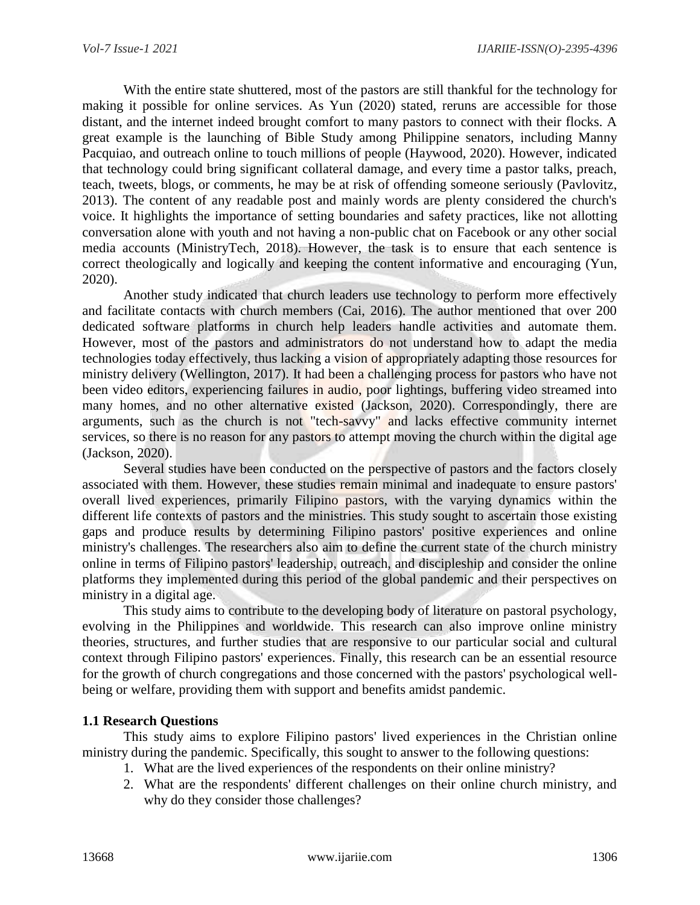With the entire state shuttered, most of the pastors are still thankful for the technology for making it possible for online services. As Yun (2020) stated, reruns are accessible for those distant, and the internet indeed brought comfort to many pastors to connect with their flocks. A great example is the launching of Bible Study among Philippine senators, including Manny Pacquiao, and outreach online to touch millions of people (Haywood, 2020). However, indicated that technology could bring significant collateral damage, and every time a pastor talks, preach, teach, tweets, blogs, or comments, he may be at risk of offending someone seriously (Pavlovitz, 2013). The content of any readable post and mainly words are plenty considered the church's voice. It highlights the importance of setting boundaries and safety practices, like not allotting conversation alone with youth and not having a non-public chat on Facebook or any other social media accounts (MinistryTech, 2018). However, the task is to ensure that each sentence is correct theologically and logically and keeping the content informative and encouraging (Yun, 2020).

Another study indicated that church leaders use technology to perform more effectively and facilitate contacts with church members (Cai, 2016). The author mentioned that over 200 dedicated software platforms in church help leaders handle activities and automate them. However, most of the pastors and administrators do not understand how to adapt the media technologies today effectively, thus lacking a vision of appropriately adapting those resources for ministry delivery (Wellington, 2017). It had been a challenging process for pastors who have not been video editors, experiencing failures in audio, poor lightings, buffering video streamed into many homes, and no other alternative existed (Jackson, 2020). Correspondingly, there are arguments, such as the church is not "tech-savvy" and lacks effective community internet services, so there is no reason for any pastors to attempt moving the church within the digital age (Jackson, 2020).

Several studies have been conducted on the perspective of pastors and the factors closely associated with them. However, these studies remain minimal and inadequate to ensure pastors' overall lived experiences, primarily Filipino pastors, with the varying dynamics within the different life contexts of pastors and the ministries. This study sought to ascertain those existing gaps and produce results by determining Filipino pastors' positive experiences and online ministry's challenges. The researchers also aim to define the current state of the church ministry online in terms of Filipino pastors' leadership, outreach, and discipleship and consider the online platforms they implemented during this period of the global pandemic and their perspectives on ministry in a digital age.

This study aims to contribute to the developing body of literature on pastoral psychology, evolving in the Philippines and worldwide. This research can also improve online ministry theories, structures, and further studies that are responsive to our particular social and cultural context through Filipino pastors' experiences. Finally, this research can be an essential resource for the growth of church congregations and those concerned with the pastors' psychological wellbeing or welfare, providing them with support and benefits amidst pandemic.

### **1.1 Research Questions**

This study aims to explore Filipino pastors' lived experiences in the Christian online ministry during the pandemic. Specifically, this sought to answer to the following questions:

- 1. What are the lived experiences of the respondents on their online ministry?
- 2. What are the respondents' different challenges on their online church ministry, and why do they consider those challenges?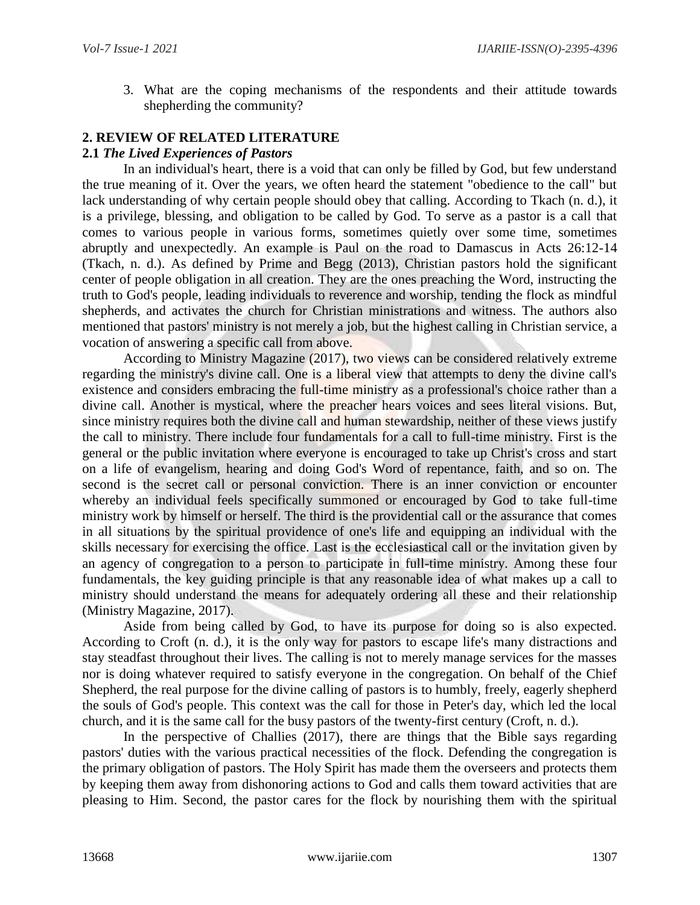3. What are the coping mechanisms of the respondents and their attitude towards shepherding the community?

# **2. REVIEW OF RELATED LITERATURE**

### **2.1** *The Lived Experiences of Pastors*

In an individual's heart, there is a void that can only be filled by God, but few understand the true meaning of it. Over the years, we often heard the statement "obedience to the call" but lack understanding of why certain people should obey that calling. According to Tkach (n. d.), it is a privilege, blessing, and obligation to be called by God. To serve as a pastor is a call that comes to various people in various forms, sometimes quietly over some time, sometimes abruptly and unexpectedly. An example is Paul on the road to Damascus in Acts 26:12-14 (Tkach, n. d.). As defined by Prime and Begg (2013), Christian pastors hold the significant center of people obligation in all creation. They are the ones preaching the Word, instructing the truth to God's people, leading individuals to reverence and worship, tending the flock as mindful shepherds, and activates the church for Christian ministrations and witness. The authors also mentioned that pastors' ministry is not merely a job, but the highest calling in Christian service, a vocation of answering a specific call from above.

According to Ministry Magazine (2017), two views can be considered relatively extreme regarding the ministry's divine call. One is a liberal view that attempts to deny the divine call's existence and considers embracing the full-time ministry as a professional's choice rather than a divine call. Another is mystical, where the preacher hears voices and sees literal visions. But, since ministry requires both the divine call and human stewardship, neither of these views justify the call to ministry. There include four fundamentals for a call to full-time ministry. First is the general or the public invitation where everyone is encouraged to take up Christ's cross and start on a life of evangelism, hearing and doing God's Word of repentance, faith, and so on. The second is the secret call or personal conviction. There is an inner conviction or encounter whereby an individual feels specifically summoned or encouraged by God to take full-time ministry work by himself or herself. The third is the providential call or the assurance that comes in all situations by the spiritual providence of one's life and equipping an individual with the skills necessary for exercising the office. Last is the ecclesiastical call or the invitation given by an agency of congregation to a person to participate in full-time ministry. Among these four fundamentals, the key guiding principle is that any reasonable idea of what makes up a call to ministry should understand the means for adequately ordering all these and their relationship (Ministry Magazine, 2017).

Aside from being called by God, to have its purpose for doing so is also expected. According to Croft (n. d.), it is the only way for pastors to escape life's many distractions and stay steadfast throughout their lives. The calling is not to merely manage services for the masses nor is doing whatever required to satisfy everyone in the congregation. On behalf of the Chief Shepherd, the real purpose for the divine calling of pastors is to humbly, freely, eagerly shepherd the souls of God's people. This context was the call for those in Peter's day, which led the local church, and it is the same call for the busy pastors of the twenty-first century (Croft, n. d.).

In the perspective of Challies (2017), there are things that the Bible says regarding pastors' duties with the various practical necessities of the flock. Defending the congregation is the primary obligation of pastors. The Holy Spirit has made them the overseers and protects them by keeping them away from dishonoring actions to God and calls them toward activities that are pleasing to Him. Second, the pastor cares for the flock by nourishing them with the spiritual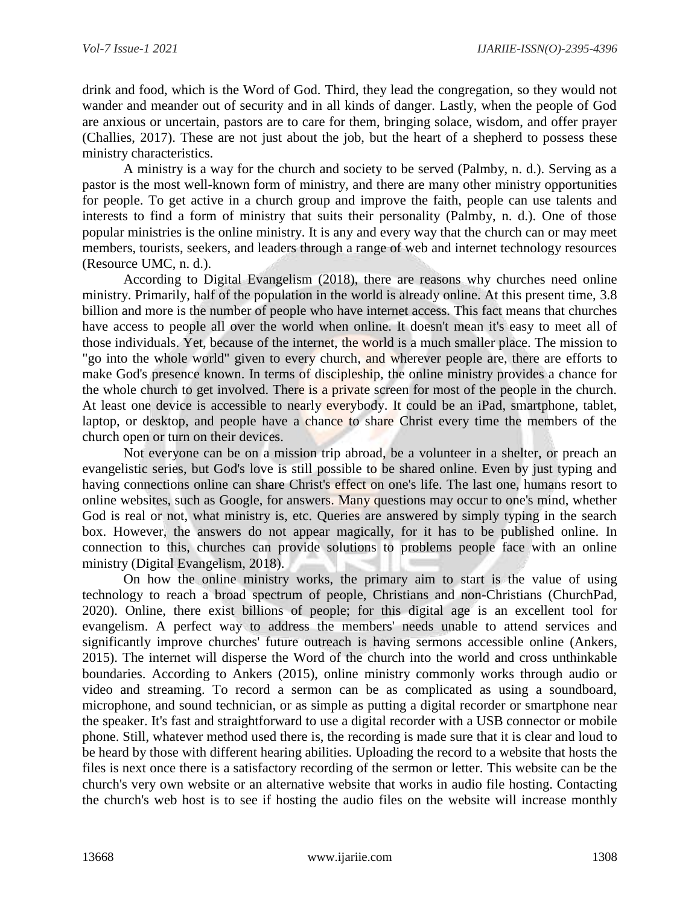drink and food, which is the Word of God. Third, they lead the congregation, so they would not wander and meander out of security and in all kinds of danger. Lastly, when the people of God are anxious or uncertain, pastors are to care for them, bringing solace, wisdom, and offer prayer (Challies, 2017). These are not just about the job, but the heart of a shepherd to possess these ministry characteristics.

A ministry is a way for the church and society to be served (Palmby, n. d.). Serving as a pastor is the most well-known form of ministry, and there are many other ministry opportunities for people. To get active in a church group and improve the faith, people can use talents and interests to find a form of ministry that suits their personality (Palmby, n. d.). One of those popular ministries is the online ministry. It is any and every way that the church can or may meet members, tourists, seekers, and leaders through a range of web and internet technology resources (Resource UMC, n. d.).

According to Digital Evangelism (2018), there are reasons why churches need online ministry. Primarily, half of the population in the world is already online. At this present time, 3.8 billion and more is the number of people who have internet access. This fact means that churches have access to people all over the world when online. It doesn't mean it's easy to meet all of those individuals. Yet, because of the internet, the world is a much smaller place. The mission to "go into the whole world" given to every church, and wherever people are, there are efforts to make God's presence known. In terms of discipleship, the online ministry provides a chance for the whole church to get involved. There is a private screen for most of the people in the church. At least one device is accessible to nearly everybody. It could be an iPad, smartphone, tablet, laptop, or desktop, and people have a chance to share Christ every time the members of the church open or turn on their devices.

Not everyone can be on a mission trip abroad, be a volunteer in a shelter, or preach an evangelistic series, but God's love is still possible to be shared online. Even by just typing and having connections online can share Christ's effect on one's life. The last one, humans resort to online websites, such as Google, for answers. Many questions may occur to one's mind, whether God is real or not, what ministry is, etc. Queries are answered by simply typing in the search box. However, the answers do not appear magically, for it has to be published online. In connection to this, churches can provide solutions to problems people face with an online ministry (Digital Evangelism, 2018).

On how the online ministry works, the primary aim to start is the value of using technology to reach a broad spectrum of people, Christians and non-Christians (ChurchPad, 2020). Online, there exist billions of people; for this digital age is an excellent tool for evangelism. A perfect way to address the members' needs unable to attend services and significantly improve churches' future outreach is having sermons accessible online (Ankers, 2015). The internet will disperse the Word of the church into the world and cross unthinkable boundaries. According to Ankers (2015), online ministry commonly works through audio or video and streaming. To record a sermon can be as complicated as using a soundboard, microphone, and sound technician, or as simple as putting a digital recorder or smartphone near the speaker. It's fast and straightforward to use a digital recorder with a USB connector or mobile phone. Still, whatever method used there is, the recording is made sure that it is clear and loud to be heard by those with different hearing abilities. Uploading the record to a website that hosts the files is next once there is a satisfactory recording of the sermon or letter. This website can be the church's very own website or an alternative website that works in audio file hosting. Contacting the church's web host is to see if hosting the audio files on the website will increase monthly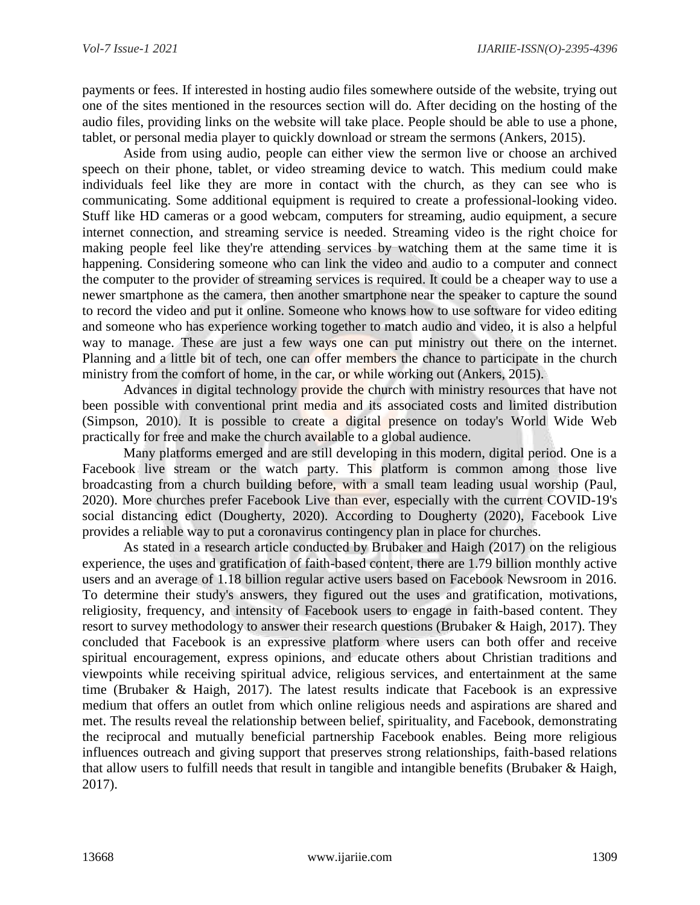payments or fees. If interested in hosting audio files somewhere outside of the website, trying out one of the sites mentioned in the resources section will do. After deciding on the hosting of the audio files, providing links on the website will take place. People should be able to use a phone, tablet, or personal media player to quickly download or stream the sermons (Ankers, 2015).

Aside from using audio, people can either view the sermon live or choose an archived speech on their phone, tablet, or video streaming device to watch. This medium could make individuals feel like they are more in contact with the church, as they can see who is communicating. Some additional equipment is required to create a professional-looking video. Stuff like HD cameras or a good webcam, computers for streaming, audio equipment, a secure internet connection, and streaming service is needed. Streaming video is the right choice for making people feel like they're attending services by watching them at the same time it is happening. Considering someone who can link the video and audio to a computer and connect the computer to the provider of streaming services is required. It could be a cheaper way to use a newer smartphone as the camera, then another smartphone near the speaker to capture the sound to record the video and put it online. Someone who knows how to use software for video editing and someone who has experience working together to match audio and video, it is also a helpful way to manage. These are just a few ways one can put ministry out there on the internet. Planning and a little bit of tech, one can offer members the chance to participate in the church ministry from the comfort of home, in the car, or while working out (Ankers, 2015).

Advances in digital technology provide the church with ministry resources that have not been possible with conventional print media and its associated costs and limited distribution (Simpson, 2010). It is possible to create a digital presence on today's World Wide Web practically for free and make the church available to a global audience.

Many platforms emerged and are still developing in this modern, digital period. One is a Facebook live stream or the watch party. This platform is common among those live broadcasting from a church building before, with a small team leading usual worship (Paul, 2020). More churches prefer Facebook Live than ever, especially with the current COVID-19's social distancing edict (Dougherty, 2020). According to Dougherty (2020), Facebook Live provides a reliable way to put a coronavirus contingency plan in place for churches.

As stated in a research article conducted by Brubaker and Haigh (2017) on the religious experience, the uses and gratification of faith-based content, there are 1.79 billion monthly active users and an average of 1.18 billion regular active users based on Facebook Newsroom in 2016. To determine their study's answers, they figured out the uses and gratification, motivations, religiosity, frequency, and intensity of Facebook users to engage in faith-based content. They resort to survey methodology to answer their research questions (Brubaker & Haigh, 2017). They concluded that Facebook is an expressive platform where users can both offer and receive spiritual encouragement, express opinions, and educate others about Christian traditions and viewpoints while receiving spiritual advice, religious services, and entertainment at the same time (Brubaker & Haigh, 2017). The latest results indicate that Facebook is an expressive medium that offers an outlet from which online religious needs and aspirations are shared and met. The results reveal the relationship between belief, spirituality, and Facebook, demonstrating the reciprocal and mutually beneficial partnership Facebook enables. Being more religious influences outreach and giving support that preserves strong relationships, faith-based relations that allow users to fulfill needs that result in tangible and intangible benefits (Brubaker & Haigh, 2017).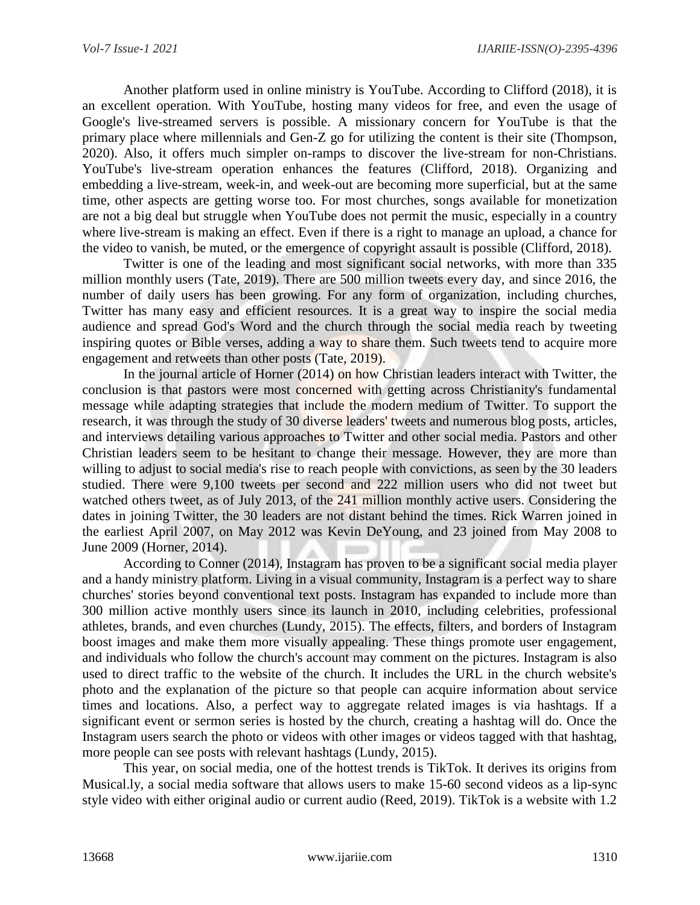Another platform used in online ministry is YouTube. According to Clifford (2018), it is an excellent operation. With YouTube, hosting many videos for free, and even the usage of Google's live-streamed servers is possible. A missionary concern for YouTube is that the primary place where millennials and Gen-Z go for utilizing the content is their site (Thompson, 2020). Also, it offers much simpler on-ramps to discover the live-stream for non-Christians. YouTube's live-stream operation enhances the features (Clifford, 2018). Organizing and embedding a live-stream, week-in, and week-out are becoming more superficial, but at the same time, other aspects are getting worse too. For most churches, songs available for monetization are not a big deal but struggle when YouTube does not permit the music, especially in a country where live-stream is making an effect. Even if there is a right to manage an upload, a chance for the video to vanish, be muted, or the emergence of copyright assault is possible (Clifford, 2018).

Twitter is one of the leading and most significant social networks, with more than 335 million monthly users (Tate, 2019). There are 500 million tweets every day, and since 2016, the number of daily users has been growing. For any form of organization, including churches, Twitter has many easy and efficient resources. It is a great way to inspire the social media audience and spread God's Word and the church through the social media reach by tweeting inspiring quotes or Bible verses, adding a way to share them. Such tweets tend to acquire more engagement and retweets than other posts (Tate, 2019).

In the journal article of Horner (2014) on how Christian leaders interact with Twitter, the conclusion is that pastors were most concerned with getting across Christianity's fundamental message while adapting strategies that include the modern medium of Twitter. To support the research, it was through the study of 30 diverse leaders' tweets and numerous blog posts, articles, and interviews detailing various approaches to Twitter and other social media. Pastors and other Christian leaders seem to be hesitant to change their message. However, they are more than willing to adjust to social media's rise to reach people with convictions, as seen by the 30 leaders studied. There were 9,100 tweets per second and 222 million users who did not tweet but watched others tweet, as of July 2013, of the 241 million monthly active users. Considering the dates in joining Twitter, the 30 leaders are not distant behind the times. Rick Warren joined in the earliest April 2007, on May 2012 was Kevin DeYoung, and 23 joined from May 2008 to June 2009 (Horner, 2014).

According to Conner (2014), Instagram has proven to be a significant social media player and a handy ministry platform. Living in a visual community, Instagram is a perfect way to share churches' stories beyond conventional text posts. Instagram has expanded to include more than 300 million active monthly users since its launch in 2010, including celebrities, professional athletes, brands, and even churches (Lundy, 2015). The effects, filters, and borders of Instagram boost images and make them more visually appealing. These things promote user engagement, and individuals who follow the church's account may comment on the pictures. Instagram is also used to direct traffic to the website of the church. It includes the URL in the church website's photo and the explanation of the picture so that people can acquire information about service times and locations. Also, a perfect way to aggregate related images is via hashtags. If a significant event or sermon series is hosted by the church, creating a hashtag will do. Once the Instagram users search the photo or videos with other images or videos tagged with that hashtag, more people can see posts with relevant hashtags (Lundy, 2015).

This year, on social media, one of the hottest trends is TikTok. It derives its origins from Musical.ly, a social media software that allows users to make 15-60 second videos as a lip-sync style video with either original audio or current audio (Reed, 2019). TikTok is a website with 1.2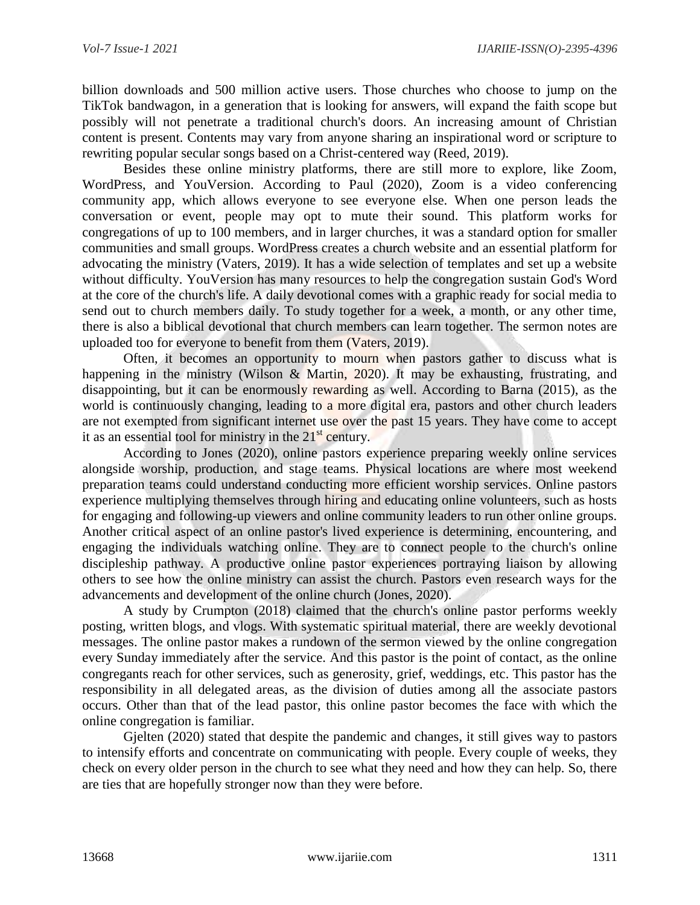billion downloads and 500 million active users. Those churches who choose to jump on the TikTok bandwagon, in a generation that is looking for answers, will expand the faith scope but possibly will not penetrate a traditional church's doors. An increasing amount of Christian content is present. Contents may vary from anyone sharing an inspirational word or scripture to rewriting popular secular songs based on a Christ-centered way (Reed, 2019).

Besides these online ministry platforms, there are still more to explore, like Zoom, WordPress, and YouVersion. According to Paul (2020), Zoom is a video conferencing community app, which allows everyone to see everyone else. When one person leads the conversation or event, people may opt to mute their sound. This platform works for congregations of up to 100 members, and in larger churches, it was a standard option for smaller communities and small groups. WordPress creates a church website and an essential platform for advocating the ministry (Vaters, 2019). It has a wide selection of templates and set up a website without difficulty. YouVersion has many resources to help the congregation sustain God's Word at the core of the church's life. A daily devotional comes with a graphic ready for social media to send out to church members daily. To study together for a week, a month, or any other time, there is also a biblical devotional that church members can learn together. The sermon notes are uploaded too for everyone to benefit from them (Vaters, 2019).

Often, it becomes an opportunity to mourn when pastors gather to discuss what is happening in the ministry (Wilson & Martin, 2020). It may be exhausting, frustrating, and disappointing, but it can be enormously rewarding as well. According to Barna (2015), as the world is continuously changing, leading to a more digital era, pastors and other church leaders are not exempted from significant internet use over the past 15 years. They have come to accept it as an essential tool for ministry in the  $21<sup>st</sup>$  century.

According to Jones (2020), online pastors experience preparing weekly online services alongside worship, production, and stage teams. Physical locations are where most weekend preparation teams could understand conducting more efficient worship services. Online pastors experience multiplying themselves through hiring and educating online volunteers, such as hosts for engaging and following-up viewers and online community leaders to run other online groups. Another critical aspect of an online pastor's lived experience is determining, encountering, and engaging the individuals watching online. They are to connect people to the church's online discipleship pathway. A productive online pastor experiences portraying liaison by allowing others to see how the online ministry can assist the church. Pastors even research ways for the advancements and development of the online church (Jones, 2020).

A study by Crumpton (2018) claimed that the church's online pastor performs weekly posting, written blogs, and vlogs. With systematic spiritual material, there are weekly devotional messages. The online pastor makes a rundown of the sermon viewed by the online congregation every Sunday immediately after the service. And this pastor is the point of contact, as the online congregants reach for other services, such as generosity, grief, weddings, etc. This pastor has the responsibility in all delegated areas, as the division of duties among all the associate pastors occurs. Other than that of the lead pastor, this online pastor becomes the face with which the online congregation is familiar.

Gjelten (2020) stated that despite the pandemic and changes, it still gives way to pastors to intensify efforts and concentrate on communicating with people. Every couple of weeks, they check on every older person in the church to see what they need and how they can help. So, there are ties that are hopefully stronger now than they were before.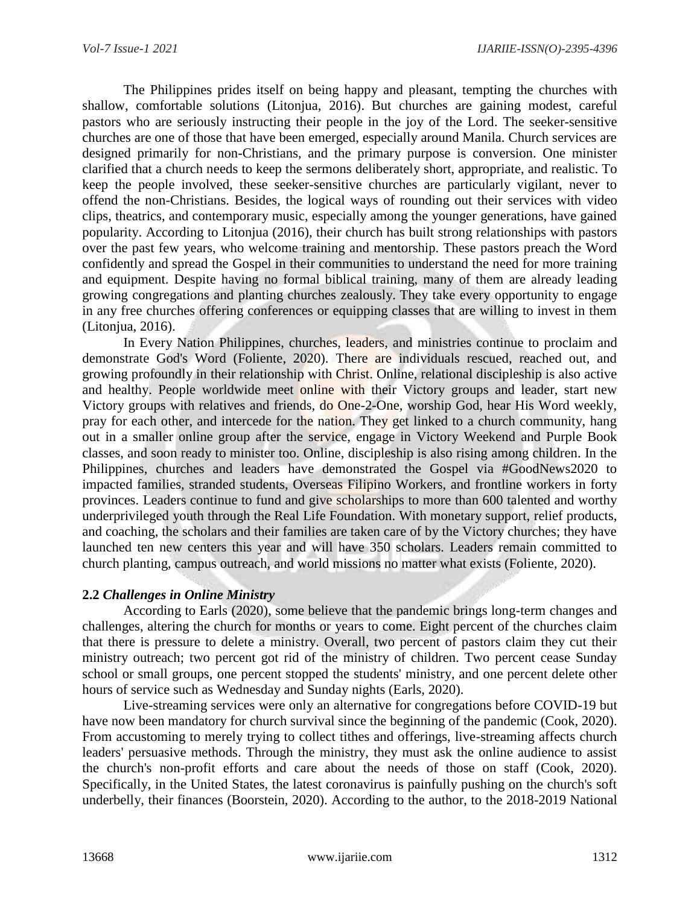The Philippines prides itself on being happy and pleasant, tempting the churches with shallow, comfortable solutions (Litonjua, 2016). But churches are gaining modest, careful pastors who are seriously instructing their people in the joy of the Lord. The seeker-sensitive churches are one of those that have been emerged, especially around Manila. Church services are designed primarily for non-Christians, and the primary purpose is conversion. One minister clarified that a church needs to keep the sermons deliberately short, appropriate, and realistic. To keep the people involved, these seeker-sensitive churches are particularly vigilant, never to offend the non-Christians. Besides, the logical ways of rounding out their services with video clips, theatrics, and contemporary music, especially among the younger generations, have gained popularity. According to Litonjua (2016), their church has built strong relationships with pastors over the past few years, who welcome training and mentorship. These pastors preach the Word confidently and spread the Gospel in their communities to understand the need for more training and equipment. Despite having no formal biblical training, many of them are already leading growing congregations and planting churches zealously. They take every opportunity to engage in any free churches offering conferences or equipping classes that are willing to invest in them (Litonjua, 2016).

In Every Nation Philippines, churches, leaders, and ministries continue to proclaim and demonstrate God's Word (Foliente, 2020). There are individuals rescued, reached out, and growing profoundly in their relationship with Christ. Online, relational discipleship is also active and healthy. People worldwide meet online with their Victory groups and leader, start new Victory groups with relatives and friends, do One-2-One, worship God, hear His Word weekly, pray for each other, and intercede for the nation. They get linked to a church community, hang out in a smaller online group after the service, engage in Victory Weekend and Purple Book classes, and soon ready to minister too. Online, discipleship is also rising among children. In the Philippines, churches and leaders have demonstrated the Gospel via #GoodNews2020 to impacted families, stranded students, Overseas Filipino Workers, and frontline workers in forty provinces. Leaders continue to fund and give scholarships to more than 600 talented and worthy underprivileged youth through the Real Life Foundation. With monetary support, relief products, and coaching, the scholars and their families are taken care of by the Victory churches; they have launched ten new centers this year and will have 350 scholars. Leaders remain committed to church planting, campus outreach, and world missions no matter what exists (Foliente, 2020).

### **2.2** *Challenges in Online Ministry*

According to Earls (2020), some believe that the pandemic brings long-term changes and challenges, altering the church for months or years to come. Eight percent of the churches claim that there is pressure to delete a ministry. Overall, two percent of pastors claim they cut their ministry outreach; two percent got rid of the ministry of children. Two percent cease Sunday school or small groups, one percent stopped the students' ministry, and one percent delete other hours of service such as Wednesday and Sunday nights (Earls, 2020).

Live-streaming services were only an alternative for congregations before COVID-19 but have now been mandatory for church survival since the beginning of the pandemic (Cook, 2020). From accustoming to merely trying to collect tithes and offerings, live-streaming affects church leaders' persuasive methods. Through the ministry, they must ask the online audience to assist the church's non-profit efforts and care about the needs of those on staff (Cook, 2020). Specifically, in the United States, the latest coronavirus is painfully pushing on the church's soft underbelly, their finances (Boorstein, 2020). According to the author, to the 2018-2019 National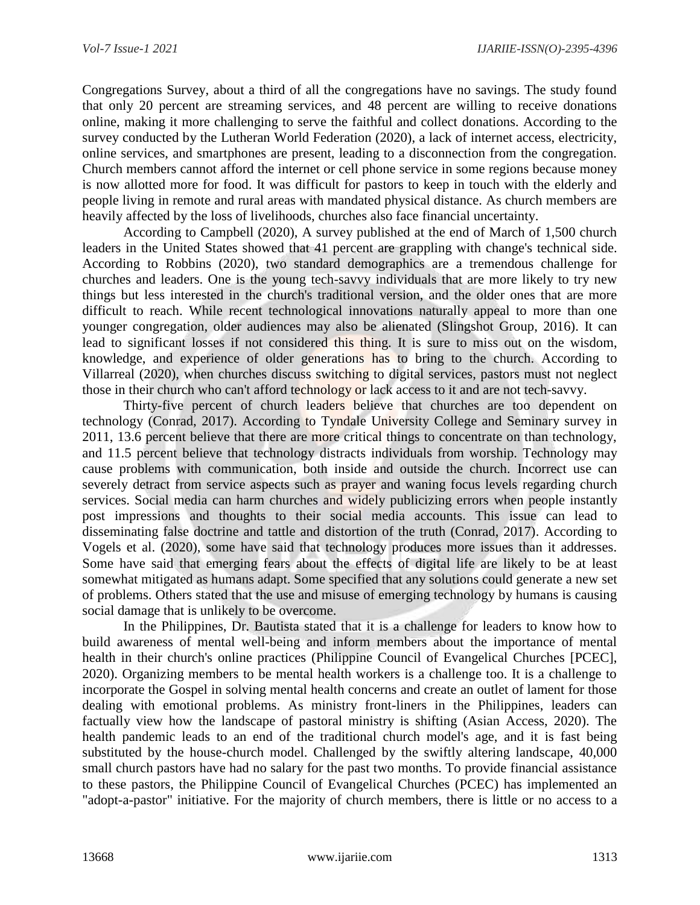Congregations Survey, about a third of all the congregations have no savings. The study found that only 20 percent are streaming services, and 48 percent are willing to receive donations online, making it more challenging to serve the faithful and collect donations. According to the survey conducted by the Lutheran World Federation (2020), a lack of internet access, electricity, online services, and smartphones are present, leading to a disconnection from the congregation. Church members cannot afford the internet or cell phone service in some regions because money is now allotted more for food. It was difficult for pastors to keep in touch with the elderly and people living in remote and rural areas with mandated physical distance. As church members are heavily affected by the loss of livelihoods, churches also face financial uncertainty.

According to Campbell (2020), A survey published at the end of March of 1,500 church leaders in the United States showed that 41 percent are grappling with change's technical side. According to Robbins (2020), two standard demographics are a tremendous challenge for churches and leaders. One is the young tech-savvy individuals that are more likely to try new things but less interested in the church's traditional version, and the older ones that are more difficult to reach. While recent technological innovations naturally appeal to more than one younger congregation, older audiences may also be alienated (Slingshot Group, 2016). It can lead to significant losses if not considered this thing. It is sure to miss out on the wisdom, knowledge, and experience of older generations has to bring to the church. According to Villarreal (2020), when churches discuss switching to digital services, pastors must not neglect those in their church who can't afford technology or lack access to it and are not tech-savvy.

Thirty-five percent of church leaders believe that churches are too dependent on technology (Conrad, 2017). According to Tyndale University College and Seminary survey in 2011, 13.6 percent believe that there are more critical things to concentrate on than technology, and 11.5 percent believe that technology distracts individuals from worship. Technology may cause problems with communication, both inside and outside the church. Incorrect use can severely detract from service aspects such as prayer and waning focus levels regarding church services. Social media can harm churches and widely publicizing errors when people instantly post impressions and thoughts to their social media accounts. This issue can lead to disseminating false doctrine and tattle and distortion of the truth (Conrad, 2017). According to Vogels et al. (2020), some have said that technology produces more issues than it addresses. Some have said that emerging fears about the effects of digital life are likely to be at least somewhat mitigated as humans adapt. Some specified that any solutions could generate a new set of problems. Others stated that the use and misuse of emerging technology by humans is causing social damage that is unlikely to be overcome.

In the Philippines, Dr. Bautista stated that it is a challenge for leaders to know how to build awareness of mental well-being and inform members about the importance of mental health in their church's online practices (Philippine Council of Evangelical Churches [PCEC], 2020). Organizing members to be mental health workers is a challenge too. It is a challenge to incorporate the Gospel in solving mental health concerns and create an outlet of lament for those dealing with emotional problems. As ministry front-liners in the Philippines, leaders can factually view how the landscape of pastoral ministry is shifting (Asian Access, 2020). The health pandemic leads to an end of the traditional church model's age, and it is fast being substituted by the house-church model. Challenged by the swiftly altering landscape, 40,000 small church pastors have had no salary for the past two months. To provide financial assistance to these pastors, the Philippine Council of Evangelical Churches (PCEC) has implemented an "adopt-a-pastor" initiative. For the majority of church members, there is little or no access to a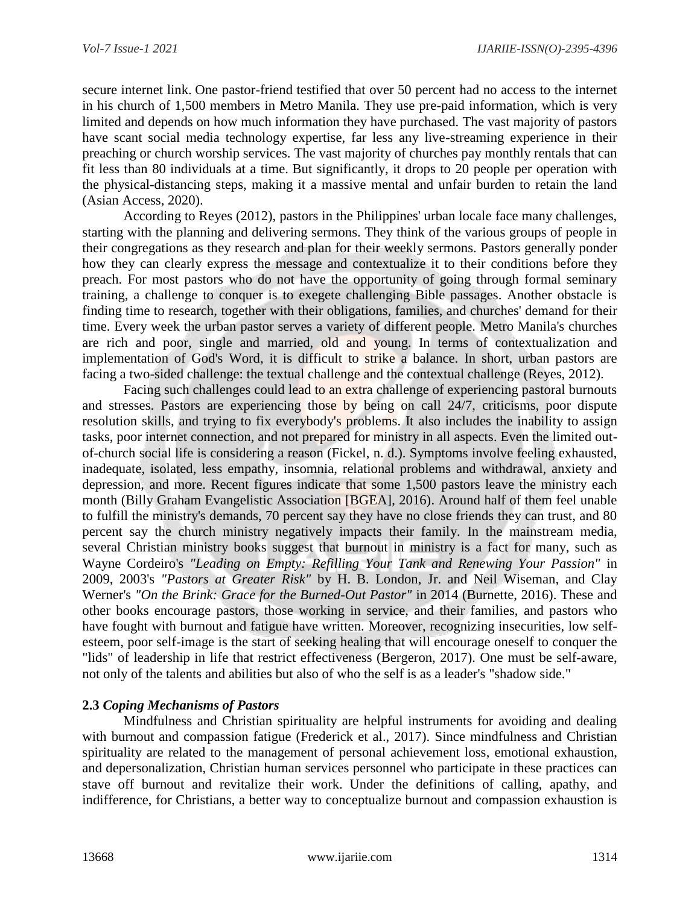secure internet link. One pastor-friend testified that over 50 percent had no access to the internet in his church of 1,500 members in Metro Manila. They use pre-paid information, which is very limited and depends on how much information they have purchased. The vast majority of pastors have scant social media technology expertise, far less any live-streaming experience in their preaching or church worship services. The vast majority of churches pay monthly rentals that can fit less than 80 individuals at a time. But significantly, it drops to 20 people per operation with the physical-distancing steps, making it a massive mental and unfair burden to retain the land (Asian Access, 2020).

According to Reyes (2012), pastors in the Philippines' urban locale face many challenges, starting with the planning and delivering sermons. They think of the various groups of people in their congregations as they research and plan for their weekly sermons. Pastors generally ponder how they can clearly express the message and contextualize it to their conditions before they preach. For most pastors who do not have the opportunity of going through formal seminary training, a challenge to conquer is to exegete challenging Bible passages. Another obstacle is finding time to research, together with their obligations, families, and churches' demand for their time. Every week the urban pastor serves a variety of different people. Metro Manila's churches are rich and poor, single and married, old and young. In terms of contextualization and implementation of God's Word, it is difficult to strike a balance. In short, urban pastors are facing a two-sided challenge: the textual challenge and the contextual challenge (Reyes, 2012).

Facing such challenges could lead to an extra challenge of experiencing pastoral burnouts and stresses. Pastors are experiencing those by being on call 24/7, criticisms, poor dispute resolution skills, and trying to fix everybody's problems. It also includes the inability to assign tasks, poor internet connection, and not prepared for ministry in all aspects. Even the limited outof-church social life is considering a reason (Fickel, n. d.). Symptoms involve feeling exhausted, inadequate, isolated, less empathy, insomnia, relational problems and withdrawal, anxiety and depression, and more. Recent figures indicate that some 1,500 pastors leave the ministry each month (Billy Graham Evangelistic Association [BGEA], 2016). Around half of them feel unable to fulfill the ministry's demands, 70 percent say they have no close friends they can trust, and 80 percent say the church ministry negatively impacts their family. In the mainstream media, several Christian ministry books suggest that burnout in ministry is a fact for many, such as Wayne Cordeiro's *"Leading on Empty: Refilling Your Tank and Renewing Your Passion"* in 2009, 2003's *"Pastors at Greater Risk"* by H. B. London, Jr. and Neil Wiseman, and Clay Werner's *"On the Brink: Grace for the Burned-Out Pastor"* in 2014 (Burnette, 2016). These and other books encourage pastors, those working in service, and their families, and pastors who have fought with burnout and fatigue have written. Moreover, recognizing insecurities, low selfesteem, poor self-image is the start of seeking healing that will encourage oneself to conquer the "lids" of leadership in life that restrict effectiveness (Bergeron, 2017). One must be self-aware, not only of the talents and abilities but also of who the self is as a leader's "shadow side."

# **2.3** *Coping Mechanisms of Pastors*

Mindfulness and Christian spirituality are helpful instruments for avoiding and dealing with burnout and compassion fatigue (Frederick et al., 2017). Since mindfulness and Christian spirituality are related to the management of personal achievement loss, emotional exhaustion, and depersonalization, Christian human services personnel who participate in these practices can stave off burnout and revitalize their work. Under the definitions of calling, apathy, and indifference, for Christians, a better way to conceptualize burnout and compassion exhaustion is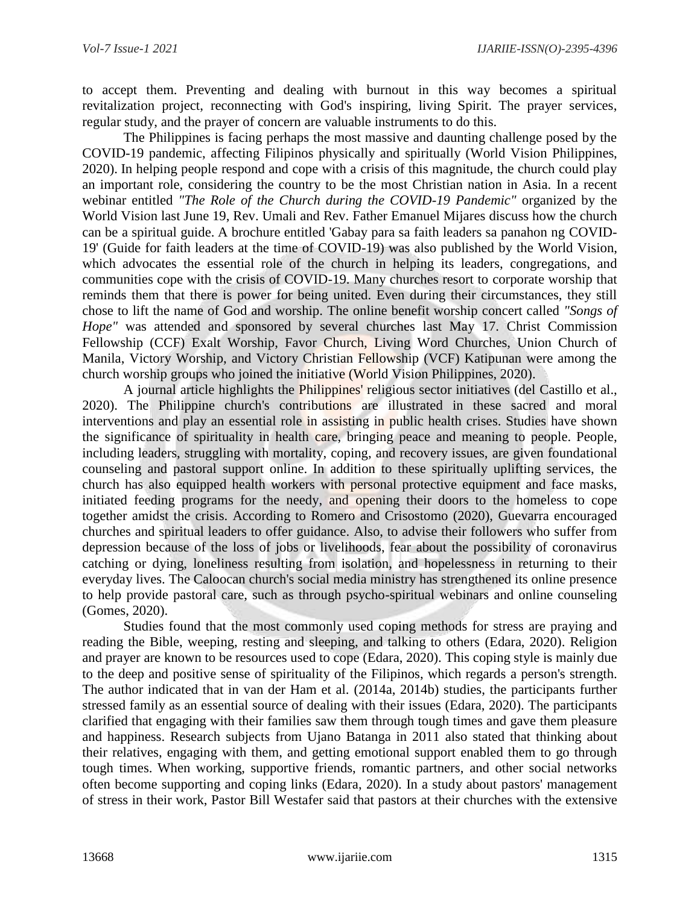to accept them. Preventing and dealing with burnout in this way becomes a spiritual revitalization project, reconnecting with God's inspiring, living Spirit. The prayer services, regular study, and the prayer of concern are valuable instruments to do this.

The Philippines is facing perhaps the most massive and daunting challenge posed by the COVID-19 pandemic, affecting Filipinos physically and spiritually (World Vision Philippines, 2020). In helping people respond and cope with a crisis of this magnitude, the church could play an important role, considering the country to be the most Christian nation in Asia. In a recent webinar entitled *"The Role of the Church during the COVID-19 Pandemic"* organized by the World Vision last June 19, Rev. Umali and Rev. Father Emanuel Mijares discuss how the church can be a spiritual guide. A brochure entitled 'Gabay para sa faith leaders sa panahon ng COVID-19' (Guide for faith leaders at the time of COVID-19) was also published by the World Vision, which advocates the essential role of the church in helping its leaders, congregations, and communities cope with the crisis of COVID-19. Many churches resort to corporate worship that reminds them that there is power for being united. Even during their circumstances, they still chose to lift the name of God and worship. The online benefit worship concert called *"Songs of Hope"* was attended and sponsored by several churches last May 17. Christ Commission Fellowship (CCF) Exalt Worship, Favor Church, Living Word Churches, Union Church of Manila, Victory Worship, and Victory Christian Fellowship (VCF) Katipunan were among the church worship groups who joined the initiative (World Vision Philippines, 2020).

A journal article highlights the Philippines' religious sector initiatives (del Castillo et al., 2020). The Philippine church's contributions are illustrated in these sacred and moral interventions and play an essential role in assisting in public health crises. Studies have shown the significance of spirituality in health care, bringing peace and meaning to people. People, including leaders, struggling with mortality, coping, and recovery issues, are given foundational counseling and pastoral support online. In addition to these spiritually uplifting services, the church has also equipped health workers with personal protective equipment and face masks, initiated feeding programs for the needy, and opening their doors to the homeless to cope together amidst the crisis. According to Romero and Crisostomo (2020), Guevarra encouraged churches and spiritual leaders to offer guidance. Also, to advise their followers who suffer from depression because of the loss of jobs or livelihoods, fear about the possibility of coronavirus catching or dying, loneliness resulting from isolation, and hopelessness in returning to their everyday lives. The Caloocan church's social media ministry has strengthened its online presence to help provide pastoral care, such as through psycho-spiritual webinars and online counseling (Gomes, 2020).

Studies found that the most commonly used coping methods for stress are praying and reading the Bible, weeping, resting and sleeping, and talking to others (Edara, 2020). Religion and prayer are known to be resources used to cope (Edara, 2020). This coping style is mainly due to the deep and positive sense of spirituality of the Filipinos, which regards a person's strength. The author indicated that in van der Ham et al. (2014a, 2014b) studies, the participants further stressed family as an essential source of dealing with their issues (Edara, 2020). The participants clarified that engaging with their families saw them through tough times and gave them pleasure and happiness. Research subjects from Ujano Batanga in 2011 also stated that thinking about their relatives, engaging with them, and getting emotional support enabled them to go through tough times. When working, supportive friends, romantic partners, and other social networks often become supporting and coping links (Edara, 2020). In a study about pastors' management of stress in their work, Pastor Bill Westafer said that pastors at their churches with the extensive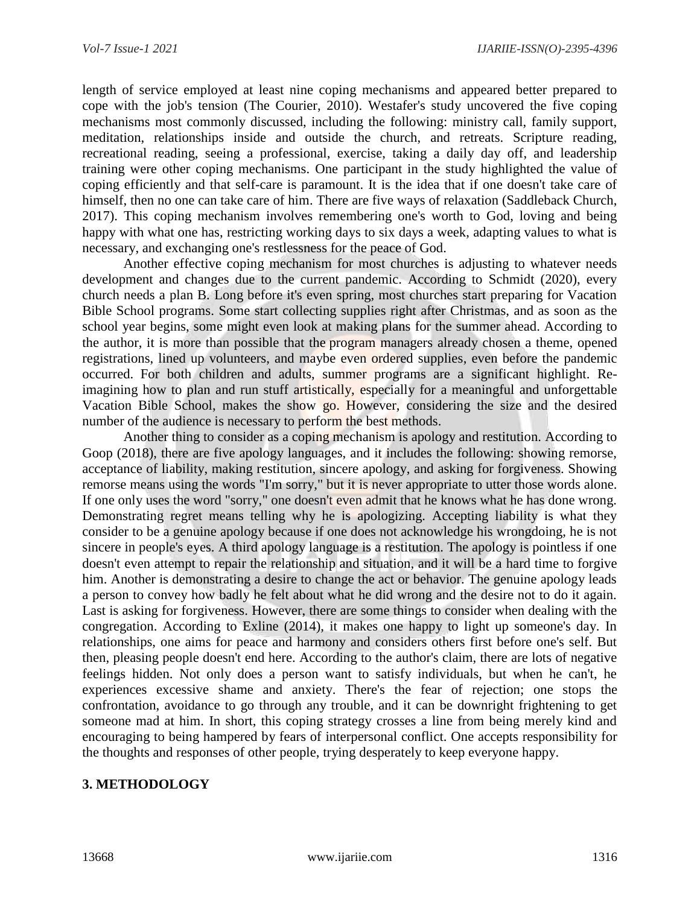length of service employed at least nine coping mechanisms and appeared better prepared to cope with the job's tension (The Courier, 2010). Westafer's study uncovered the five coping mechanisms most commonly discussed, including the following: ministry call, family support, meditation, relationships inside and outside the church, and retreats. Scripture reading, recreational reading, seeing a professional, exercise, taking a daily day off, and leadership training were other coping mechanisms. One participant in the study highlighted the value of coping efficiently and that self-care is paramount. It is the idea that if one doesn't take care of himself, then no one can take care of him. There are five ways of relaxation (Saddleback Church, 2017). This coping mechanism involves remembering one's worth to God, loving and being happy with what one has, restricting working days to six days a week, adapting values to what is necessary, and exchanging one's restlessness for the peace of God.

Another effective coping mechanism for most churches is adjusting to whatever needs development and changes due to the current pandemic. According to Schmidt (2020), every church needs a plan B. Long before it's even spring, most churches start preparing for Vacation Bible School programs. Some start collecting supplies right after Christmas, and as soon as the school year begins, some might even look at making plans for the summer ahead. According to the author, it is more than possible that the program managers already chosen a theme, opened registrations, lined up volunteers, and maybe even ordered supplies, even before the pandemic occurred. For both children and adults, summer programs are a significant highlight. Reimagining how to plan and run stuff artistically, especially for a meaningful and unforgettable Vacation Bible School, makes the show go. However, considering the size and the desired number of the audience is necessary to perform the best methods.

Another thing to consider as a coping mechanism is apology and restitution. According to Goop (2018), there are five apology languages, and it includes the following: showing remorse, acceptance of liability, making restitution, sincere apology, and asking for forgiveness. Showing remorse means using the words "I'm sorry," but it is never appropriate to utter those words alone. If one only uses the word "sorry," one doesn't even admit that he knows what he has done wrong. Demonstrating regret means telling why he is apologizing. Accepting liability is what they consider to be a genuine apology because if one does not acknowledge his wrongdoing, he is not sincere in people's eyes. A third apology language is a restitution. The apology is pointless if one doesn't even attempt to repair the relationship and situation, and it will be a hard time to forgive him. Another is demonstrating a desire to change the act or behavior. The genuine apology leads a person to convey how badly he felt about what he did wrong and the desire not to do it again. Last is asking for forgiveness. However, there are some things to consider when dealing with the congregation. According to Exline (2014), it makes one happy to light up someone's day. In relationships, one aims for peace and harmony and considers others first before one's self. But then, pleasing people doesn't end here. According to the author's claim, there are lots of negative feelings hidden. Not only does a person want to satisfy individuals, but when he can't, he experiences excessive shame and anxiety. There's the fear of rejection; one stops the confrontation, avoidance to go through any trouble, and it can be downright frightening to get someone mad at him. In short, this coping strategy crosses a line from being merely kind and encouraging to being hampered by fears of interpersonal conflict. One accepts responsibility for the thoughts and responses of other people, trying desperately to keep everyone happy.

# **3. METHODOLOGY**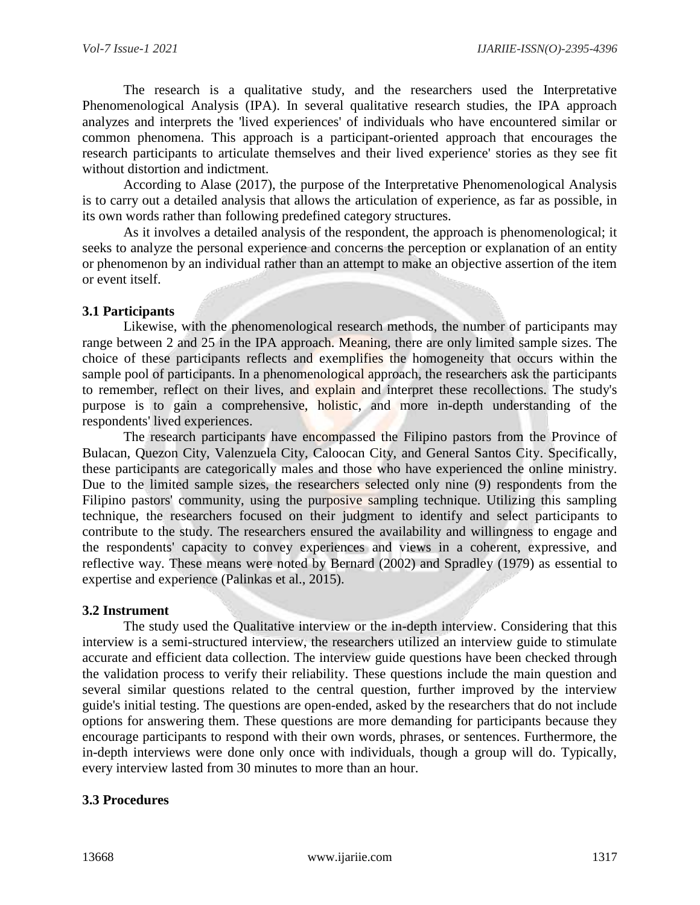The research is a qualitative study, and the researchers used the Interpretative Phenomenological Analysis (IPA). In several qualitative research studies, the IPA approach analyzes and interprets the 'lived experiences' of individuals who have encountered similar or common phenomena. This approach is a participant-oriented approach that encourages the research participants to articulate themselves and their lived experience' stories as they see fit without distortion and indictment.

According to Alase (2017), the purpose of the Interpretative Phenomenological Analysis is to carry out a detailed analysis that allows the articulation of experience, as far as possible, in its own words rather than following predefined category structures.

As it involves a detailed analysis of the respondent, the approach is phenomenological; it seeks to analyze the personal experience and concerns the perception or explanation of an entity or phenomenon by an individual rather than an attempt to make an objective assertion of the item or event itself.

# **3.1 Participants**

Likewise, with the phenomenological research methods, the number of participants may range between 2 and 25 in the IPA approach. Meaning, there are only limited sample sizes. The choice of these participants reflects and exemplifies the homogeneity that occurs within the sample pool of participants. In a phenomenological approach, the researchers ask the participants to remember, reflect on their lives, and explain and interpret these recollections. The study's purpose is to gain a comprehensive, holistic, and more in-depth understanding of the respondents' lived experiences.

The research participants have encompassed the Filipino pastors from the Province of Bulacan, Quezon City, Valenzuela City, Caloocan City, and General Santos City. Specifically, these participants are categorically males and those who have experienced the online ministry. Due to the limited sample sizes, the researchers selected only nine (9) respondents from the Filipino pastors' community, using the purposive sampling technique. Utilizing this sampling technique, the researchers focused on their judgment to identify and select participants to contribute to the study. The researchers ensured the availability and willingness to engage and the respondents' capacity to convey experiences and views in a coherent, expressive, and reflective way. These means were noted by Bernard (2002) and Spradley (1979) as essential to expertise and experience (Palinkas et al., 2015).

### **3.2 Instrument**

The study used the Qualitative interview or the in-depth interview. Considering that this interview is a semi-structured interview, the researchers utilized an interview guide to stimulate accurate and efficient data collection. The interview guide questions have been checked through the validation process to verify their reliability. These questions include the main question and several similar questions related to the central question, further improved by the interview guide's initial testing. The questions are open-ended, asked by the researchers that do not include options for answering them. These questions are more demanding for participants because they encourage participants to respond with their own words, phrases, or sentences. Furthermore, the in-depth interviews were done only once with individuals, though a group will do. Typically, every interview lasted from 30 minutes to more than an hour.

### **3.3 Procedures**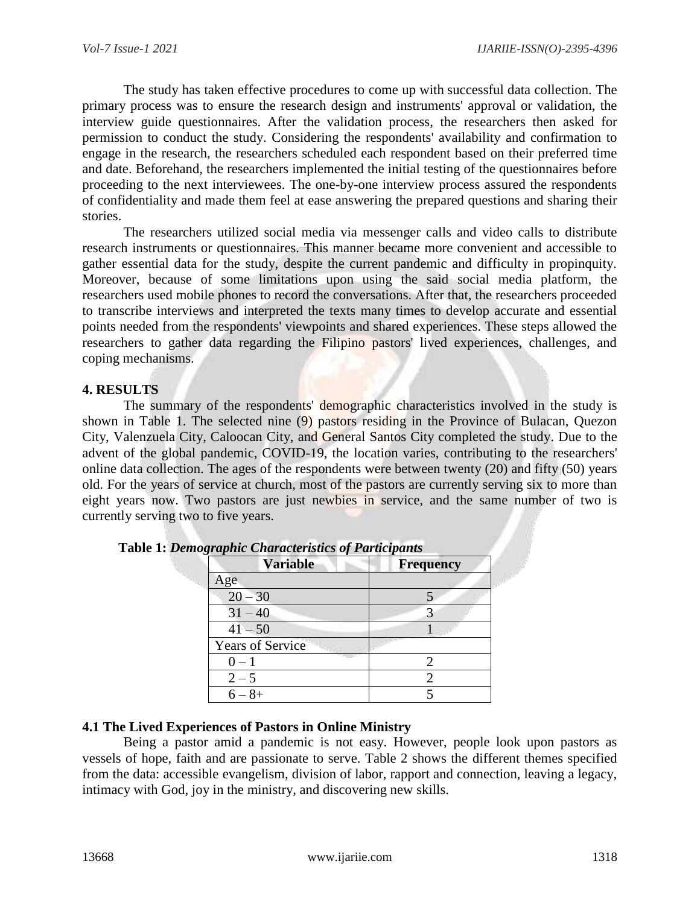The study has taken effective procedures to come up with successful data collection. The primary process was to ensure the research design and instruments' approval or validation, the interview guide questionnaires. After the validation process, the researchers then asked for permission to conduct the study. Considering the respondents' availability and confirmation to engage in the research, the researchers scheduled each respondent based on their preferred time and date. Beforehand, the researchers implemented the initial testing of the questionnaires before proceeding to the next interviewees. The one-by-one interview process assured the respondents of confidentiality and made them feel at ease answering the prepared questions and sharing their stories.

The researchers utilized social media via messenger calls and video calls to distribute research instruments or questionnaires. This manner became more convenient and accessible to gather essential data for the study, despite the current pandemic and difficulty in propinquity. Moreover, because of some limitations upon using the said social media platform, the researchers used mobile phones to record the conversations. After that, the researchers proceeded to transcribe interviews and interpreted the texts many times to develop accurate and essential points needed from the respondents' viewpoints and shared experiences. These steps allowed the researchers to gather data regarding the Filipino pastors' lived experiences, challenges, and coping mechanisms.

# **4. RESULTS**

The summary of the respondents' demographic characteristics involved in the study is shown in Table 1. The selected nine (9) pastors residing in the Province of Bulacan, Quezon City, Valenzuela City, Caloocan City, and General Santos City completed the study. Due to the advent of the global pandemic, COVID-19, the location varies, contributing to the researchers' online data collection. The ages of the respondents were between twenty (20) and fifty (50) years old. For the years of service at church, most of the pastors are currently serving six to more than eight years now. Two pastors are just newbies in service, and the same number of two is currently serving two to five years.

| <b>Variable</b>         | <b>Frequency</b> |
|-------------------------|------------------|
| Age                     |                  |
| $20 - 30$               |                  |
| $31 - 40$               |                  |
| $41 - 50$               |                  |
| <b>Years of Service</b> |                  |
| $0 - 1$                 |                  |
| $2 - 5$                 |                  |
| $8+$<br>$6-$            |                  |

**Table 1:** *Demographic Characteristics of Participants*

# **4.1 The Lived Experiences of Pastors in Online Ministry**

Being a pastor amid a pandemic is not easy. However, people look upon pastors as vessels of hope, faith and are passionate to serve. Table 2 shows the different themes specified from the data: accessible evangelism, division of labor, rapport and connection, leaving a legacy, intimacy with God, joy in the ministry, and discovering new skills.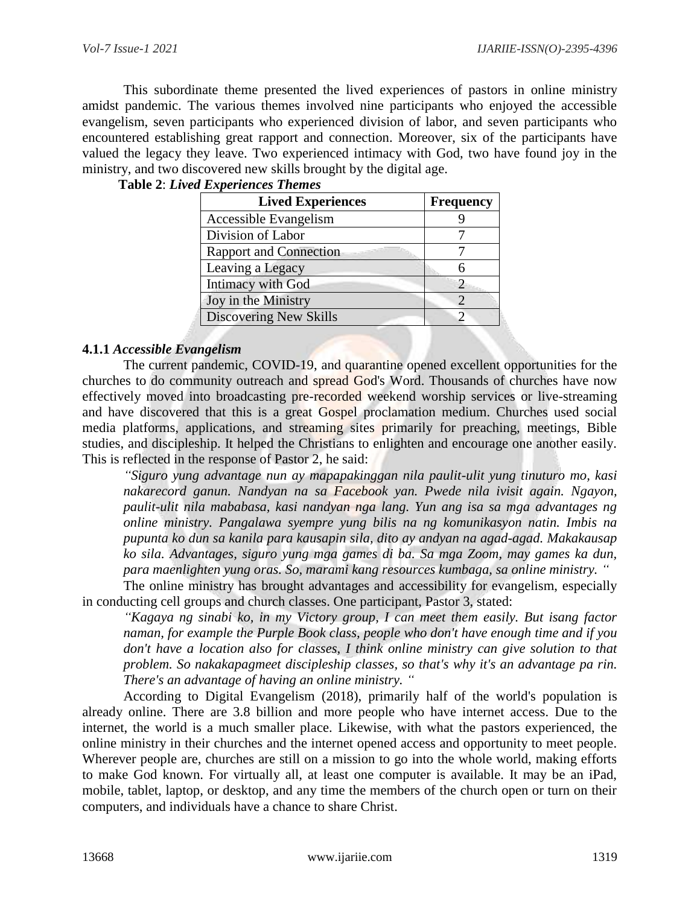This subordinate theme presented the lived experiences of pastors in online ministry amidst pandemic. The various themes involved nine participants who enjoyed the accessible evangelism, seven participants who experienced division of labor, and seven participants who encountered establishing great rapport and connection. Moreover, six of the participants have valued the legacy they leave. Two experienced intimacy with God, two have found joy in the ministry, and two discovered new skills brought by the digital age.

### **Table 2**: *Lived Experiences Themes*

| <b>Lived Experiences</b>      | <b>Frequency</b> |
|-------------------------------|------------------|
| Accessible Evangelism         |                  |
| Division of Labor             |                  |
| <b>Rapport and Connection</b> |                  |
| Leaving a Legacy              |                  |
| Intimacy with God             |                  |
| Joy in the Ministry           |                  |
| Discovering New Skills        |                  |

# **4.1.1** *Accessible Evangelism*

The current pandemic, COVID-19, and quarantine opened excellent opportunities for the churches to do community outreach and spread God's Word. Thousands of churches have now effectively moved into broadcasting pre-recorded weekend worship services or live-streaming and have discovered that this is a great Gospel proclamation medium. Churches used social media platforms, applications, and streaming sites primarily for preaching, meetings, Bible studies, and discipleship. It helped the Christians to enlighten and encourage one another easily. This is reflected in the response of Pastor 2, he said:

*"Siguro yung advantage nun ay mapapakinggan nila paulit-ulit yung tinuturo mo, kasi nakarecord ganun. Nandyan na sa Facebook yan. Pwede nila ivisit again. Ngayon, paulit-ulit nila mababasa, kasi nandyan nga lang. Yun ang isa sa mga advantages ng online ministry. Pangalawa syempre yung bilis na ng komunikasyon natin. Imbis na pupunta ko dun sa kanila para kausapin sila, dito ay andyan na agad-agad. Makakausap ko sila. Advantages, siguro yung mga games di ba. Sa mga Zoom, may games ka dun, para maenlighten yung oras. So, marami kang resources kumbaga, sa online ministry. "*

The online ministry has brought advantages and accessibility for evangelism, especially in conducting cell groups and church classes. One participant, Pastor 3, stated:

*"Kagaya ng sinabi ko, in my Victory group, I can meet them easily. But isang factor naman, for example the Purple Book class, people who don't have enough time and if you don't have a location also for classes, I think online ministry can give solution to that problem. So nakakapagmeet discipleship classes, so that's why it's an advantage pa rin. There's an advantage of having an online ministry. "*

According to Digital Evangelism (2018), primarily half of the world's population is already online. There are 3.8 billion and more people who have internet access. Due to the internet, the world is a much smaller place. Likewise, with what the pastors experienced, the online ministry in their churches and the internet opened access and opportunity to meet people. Wherever people are, churches are still on a mission to go into the whole world, making efforts to make God known. For virtually all, at least one computer is available. It may be an iPad, mobile, tablet, laptop, or desktop, and any time the members of the church open or turn on their computers, and individuals have a chance to share Christ.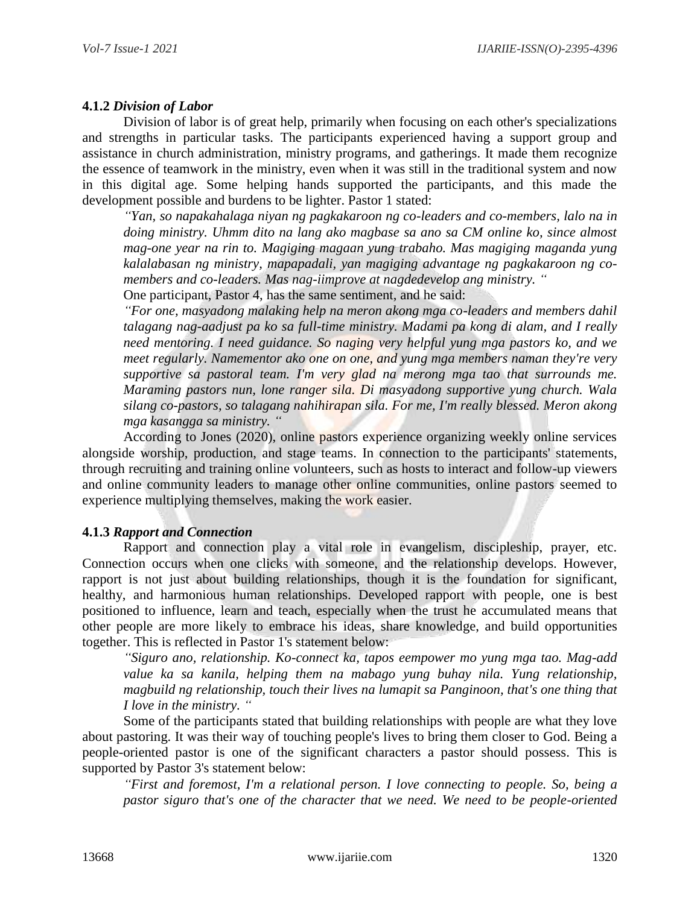# **4.1.2** *Division of Labor*

Division of labor is of great help, primarily when focusing on each other's specializations and strengths in particular tasks. The participants experienced having a support group and assistance in church administration, ministry programs, and gatherings. It made them recognize the essence of teamwork in the ministry, even when it was still in the traditional system and now in this digital age. Some helping hands supported the participants, and this made the development possible and burdens to be lighter. Pastor 1 stated:

*"Yan, so napakahalaga niyan ng pagkakaroon ng co-leaders and co-members, lalo na in doing ministry. Uhmm dito na lang ako magbase sa ano sa CM online ko, since almost mag-one year na rin to. Magiging magaan yung trabaho. Mas magiging maganda yung kalalabasan ng ministry, mapapadali, yan magiging advantage ng pagkakaroon ng comembers and co-leaders. Mas nag-iimprove at nagdedevelop ang ministry. "*

One participant, Pastor 4, has the same sentiment, and he said:

*"For one, masyadong malaking help na meron akong mga co-leaders and members dahil talagang nag-aadjust pa ko sa full-time ministry. Madami pa kong di alam, and I really need mentoring. I need guidance. So naging very helpful yung mga pastors ko, and we meet regularly. Namementor ako one on one, and yung mga members naman they're very*  supportive sa pastoral team. I'm very glad na merong mga tao that surrounds me. *Maraming pastors nun, lone ranger sila. Di masyadong supportive yung church. Wala silang co-pastors, so talagang nahihirapan sila. For me, I'm really blessed. Meron akong mga kasangga sa ministry. "*

According to Jones (2020), online pastors experience organizing weekly online services alongside worship, production, and stage teams. In connection to the participants' statements, through recruiting and training online volunteers, such as hosts to interact and follow-up viewers and online community leaders to manage other online communities, online pastors seemed to experience multiplying themselves, making the work easier.

# **4.1.3** *Rapport and Connection*

Rapport and connection play a vital role in evangelism, discipleship, prayer, etc. Connection occurs when one clicks with someone, and the relationship develops. However, rapport is not just about building relationships, though it is the foundation for significant, healthy, and harmonious human relationships. Developed rapport with people, one is best positioned to influence, learn and teach, especially when the trust he accumulated means that other people are more likely to embrace his ideas, share knowledge, and build opportunities together. This is reflected in Pastor 1's statement below:

*"Siguro ano, relationship. Ko-connect ka, tapos eempower mo yung mga tao. Mag-add value ka sa kanila, helping them na mabago yung buhay nila. Yung relationship, magbuild ng relationship, touch their lives na lumapit sa Panginoon, that's one thing that I love in the ministry. "*

Some of the participants stated that building relationships with people are what they love about pastoring. It was their way of touching people's lives to bring them closer to God. Being a people-oriented pastor is one of the significant characters a pastor should possess. This is supported by Pastor 3's statement below:

*"First and foremost, I'm a relational person. I love connecting to people. So, being a pastor siguro that's one of the character that we need. We need to be people-oriented*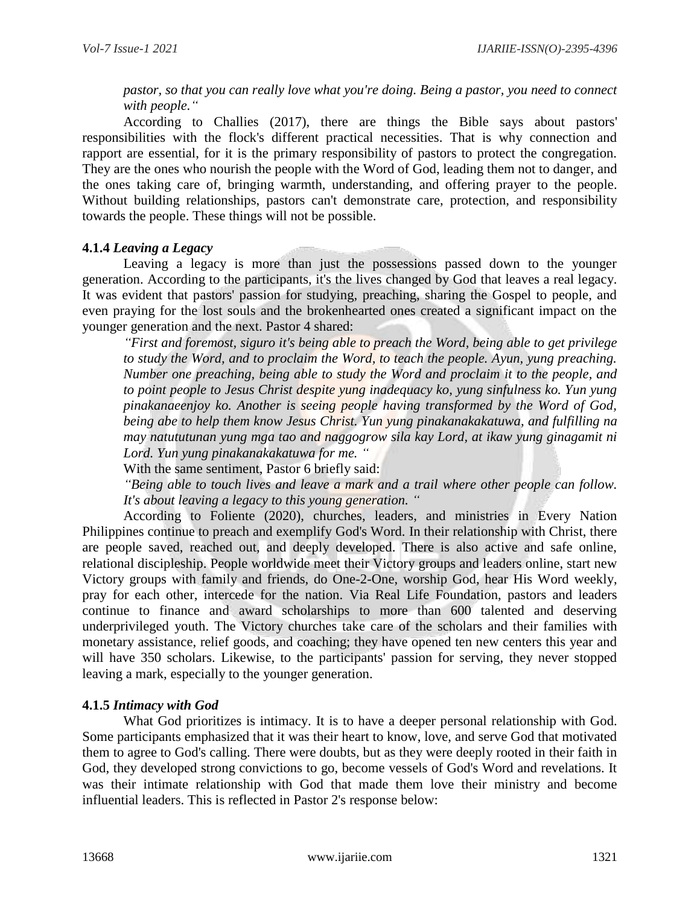*pastor, so that you can really love what you're doing. Being a pastor, you need to connect with people."*

According to Challies (2017), there are things the Bible says about pastors' responsibilities with the flock's different practical necessities. That is why connection and rapport are essential, for it is the primary responsibility of pastors to protect the congregation. They are the ones who nourish the people with the Word of God, leading them not to danger, and the ones taking care of, bringing warmth, understanding, and offering prayer to the people. Without building relationships, pastors can't demonstrate care, protection, and responsibility towards the people. These things will not be possible.

### **4.1.4** *Leaving a Legacy*

Leaving a legacy is more than just the possessions passed down to the younger generation. According to the participants, it's the lives changed by God that leaves a real legacy. It was evident that pastors' passion for studying, preaching, sharing the Gospel to people, and even praying for the lost souls and the brokenhearted ones created a significant impact on the younger generation and the next. Pastor 4 shared:

*"First and foremost, siguro it's being able to preach the Word, being able to get privilege to study the Word, and to proclaim the Word, to teach the people. Ayun, yung preaching. Number one preaching, being able to study the Word and proclaim it to the people, and to point people to Jesus Christ despite yung inadequacy ko, yung sinfulness ko. Yun yung pinakanaeenjoy ko. Another is seeing people having transformed by the Word of God, being abe to help them know Jesus Christ. Yun yung pinakanakakatuwa, and fulfilling na may natututunan yung mga tao and naggogrow sila kay Lord, at ikaw yung ginagamit ni Lord. Yun yung pinakanakakatuwa for me. "*

With the same sentiment, Pastor 6 briefly said:

*"Being able to touch lives and leave a mark and a trail where other people can follow. It's about leaving a legacy to this young generation. "*

According to Foliente (2020), churches, leaders, and ministries in Every Nation Philippines continue to preach and exemplify God's Word. In their relationship with Christ, there are people saved, reached out, and deeply developed. There is also active and safe online, relational discipleship. People worldwide meet their Victory groups and leaders online, start new Victory groups with family and friends, do One-2-One, worship God, hear His Word weekly, pray for each other, intercede for the nation. Via Real Life Foundation, pastors and leaders continue to finance and award scholarships to more than 600 talented and deserving underprivileged youth. The Victory churches take care of the scholars and their families with monetary assistance, relief goods, and coaching; they have opened ten new centers this year and will have 350 scholars. Likewise, to the participants' passion for serving, they never stopped leaving a mark, especially to the younger generation.

# **4.1.5** *Intimacy with God*

What God prioritizes is intimacy. It is to have a deeper personal relationship with God. Some participants emphasized that it was their heart to know, love, and serve God that motivated them to agree to God's calling. There were doubts, but as they were deeply rooted in their faith in God, they developed strong convictions to go, become vessels of God's Word and revelations. It was their intimate relationship with God that made them love their ministry and become influential leaders. This is reflected in Pastor 2's response below: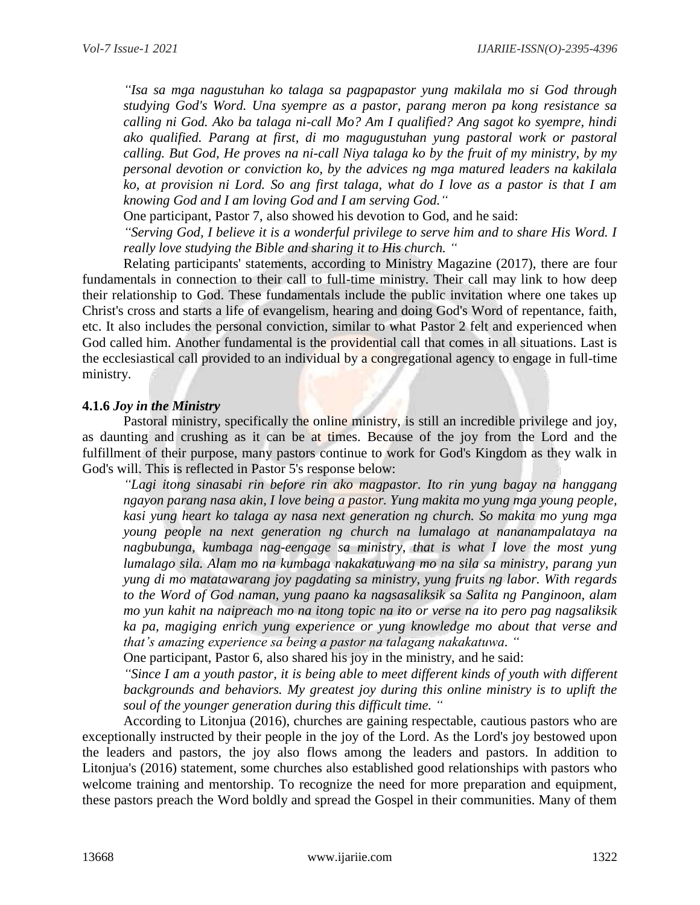*"Isa sa mga nagustuhan ko talaga sa pagpapastor yung makilala mo si God through studying God's Word. Una syempre as a pastor, parang meron pa kong resistance sa calling ni God. Ako ba talaga ni-call Mo? Am I qualified? Ang sagot ko syempre, hindi ako qualified. Parang at first, di mo magugustuhan yung pastoral work or pastoral calling. But God, He proves na ni-call Niya talaga ko by the fruit of my ministry, by my personal devotion or conviction ko, by the advices ng mga matured leaders na kakilala ko, at provision ni Lord. So ang first talaga, what do I love as a pastor is that I am knowing God and I am loving God and I am serving God."*

One participant, Pastor 7, also showed his devotion to God, and he said:

*"Serving God, I believe it is a wonderful privilege to serve him and to share His Word. I really love studying the Bible and sharing it to His church. "*

Relating participants' statements, according to Ministry Magazine (2017), there are four fundamentals in connection to their call to full-time ministry. Their call may link to how deep their relationship to God. These fundamentals include the public invitation where one takes up Christ's cross and starts a life of evangelism, hearing and doing God's Word of repentance, faith, etc. It also includes the personal conviction, similar to what Pastor 2 felt and experienced when God called him. Another fundamental is the providential call that comes in all situations. Last is the ecclesiastical call provided to an individual by a congregational agency to engage in full-time ministry.

### **4.1.6** *Joy in the Ministry*

Pastoral ministry, specifically the online ministry, is still an incredible privilege and joy, as daunting and crushing as it can be at times. Because of the joy from the Lord and the fulfillment of their purpose, many pastors continue to work for God's Kingdom as they walk in God's will. This is reflected in Pastor 5's response below:

*"Lagi itong sinasabi rin before rin ako magpastor. Ito rin yung bagay na hanggang ngayon parang nasa akin, I love being a pastor. Yung makita mo yung mga young people, kasi yung heart ko talaga ay nasa next generation ng church. So makita mo yung mga young people na next generation ng church na lumalago at nananampalataya na nagbubunga, kumbaga nag-eengage sa ministry, that is what I love the most yung lumalago sila. Alam mo na kumbaga nakakatuwang mo na sila sa ministry, parang yun yung di mo matatawarang joy pagdating sa ministry, yung fruits ng labor. With regards to the Word of God naman, yung paano ka nagsasaliksik sa Salita ng Panginoon, alam mo yun kahit na naipreach mo na itong topic na ito or verse na ito pero pag nagsaliksik ka pa, magiging enrich yung experience or yung knowledge mo about that verse and that's amazing experience sa being a pastor na talagang nakakatuwa. "*

One participant, Pastor 6, also shared his joy in the ministry, and he said:

*"Since I am a youth pastor, it is being able to meet different kinds of youth with different backgrounds and behaviors. My greatest joy during this online ministry is to uplift the soul of the younger generation during this difficult time. "*

According to Litonjua (2016), churches are gaining respectable, cautious pastors who are exceptionally instructed by their people in the joy of the Lord. As the Lord's joy bestowed upon the leaders and pastors, the joy also flows among the leaders and pastors. In addition to Litonjua's (2016) statement, some churches also established good relationships with pastors who welcome training and mentorship. To recognize the need for more preparation and equipment, these pastors preach the Word boldly and spread the Gospel in their communities. Many of them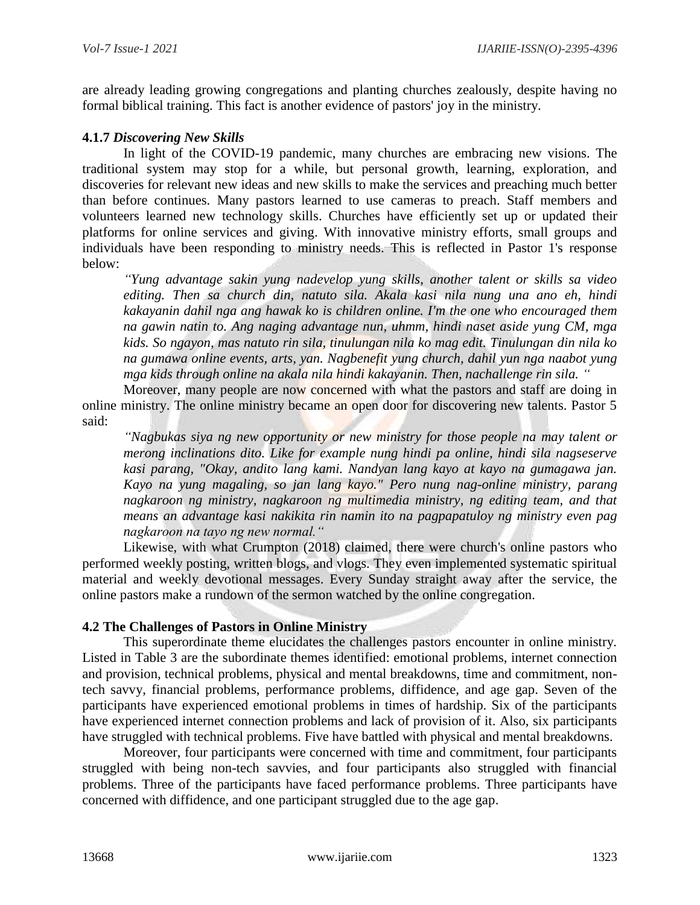are already leading growing congregations and planting churches zealously, despite having no formal biblical training. This fact is another evidence of pastors' joy in the ministry.

# **4.1.7** *Discovering New Skills*

In light of the COVID-19 pandemic, many churches are embracing new visions. The traditional system may stop for a while, but personal growth, learning, exploration, and discoveries for relevant new ideas and new skills to make the services and preaching much better than before continues. Many pastors learned to use cameras to preach. Staff members and volunteers learned new technology skills. Churches have efficiently set up or updated their platforms for online services and giving. With innovative ministry efforts, small groups and individuals have been responding to ministry needs. This is reflected in Pastor 1's response below:

*"Yung advantage sakin yung nadevelop yung skills, another talent or skills sa video editing. Then sa church din, natuto sila. Akala kasi nila nung una ano eh, hindi kakayanin dahil nga ang hawak ko is children online. I'm the one who encouraged them na gawin natin to. Ang naging advantage nun, uhmm, hindi naset aside yung CM, mga kids. So ngayon, mas natuto rin sila, tinulungan nila ko mag edit. Tinulungan din nila ko na gumawa online events, arts, yan. Nagbenefit yung church, dahil yun nga naabot yung mga kids through online na akala nila hindi kakayanin. Then, nachallenge rin sila. "*

Moreover, many people are now concerned with what the pastors and staff are doing in online ministry. The online ministry became an open door for discovering new talents. Pastor 5 said:

*"Nagbukas siya ng new opportunity or new ministry for those people na may talent or merong inclinations dito. Like for example nung hindi pa online, hindi sila nagseserve kasi parang, "Okay, andito lang kami. Nandyan lang kayo at kayo na gumagawa jan. Kayo na yung magaling, so jan lang kayo." Pero nung nag-online ministry, parang nagkaroon ng ministry, nagkaroon ng multimedia ministry, ng editing team, and that means an advantage kasi nakikita rin namin ito na pagpapatuloy ng ministry even pag nagkaroon na tayo ng new normal."*

Likewise, with what Crumpton (2018) claimed, there were church's online pastors who performed weekly posting, written blogs, and vlogs. They even implemented systematic spiritual material and weekly devotional messages. Every Sunday straight away after the service, the online pastors make a rundown of the sermon watched by the online congregation.

### **4.2 The Challenges of Pastors in Online Ministry**

This superordinate theme elucidates the challenges pastors encounter in online ministry. Listed in Table 3 are the subordinate themes identified: emotional problems, internet connection and provision, technical problems, physical and mental breakdowns, time and commitment, nontech savvy, financial problems, performance problems, diffidence, and age gap. Seven of the participants have experienced emotional problems in times of hardship. Six of the participants have experienced internet connection problems and lack of provision of it. Also, six participants have struggled with technical problems. Five have battled with physical and mental breakdowns.

Moreover, four participants were concerned with time and commitment, four participants struggled with being non-tech savvies, and four participants also struggled with financial problems. Three of the participants have faced performance problems. Three participants have concerned with diffidence, and one participant struggled due to the age gap.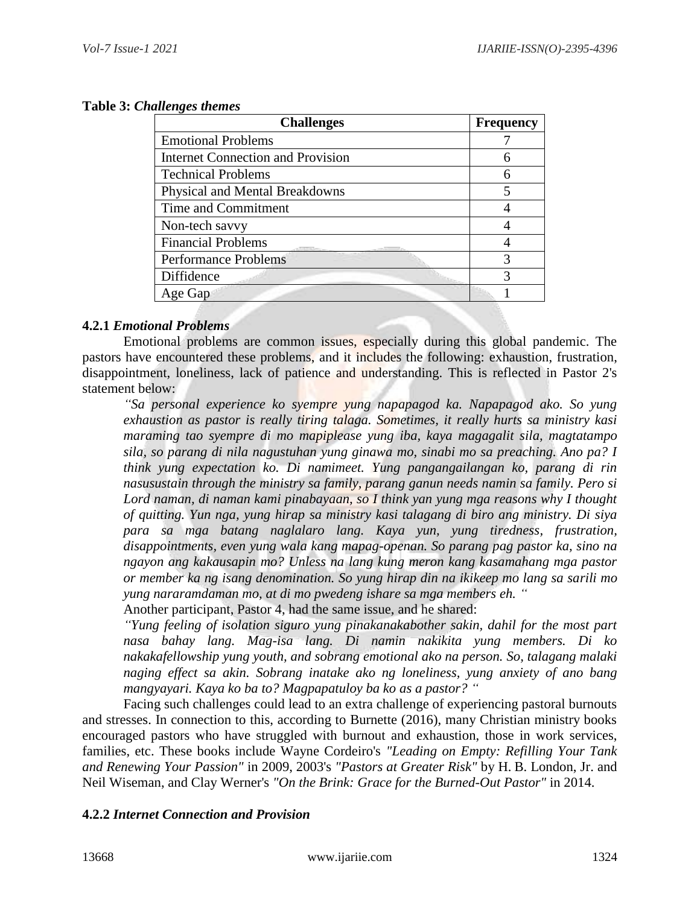| <b>Challenges</b>                           | <b>Frequency</b> |
|---------------------------------------------|------------------|
| <b>Emotional Problems</b>                   |                  |
| <b>Internet Connection and Provision</b>    | 6                |
| <b>Technical Problems</b>                   | 6                |
| Physical and Mental Breakdowns              |                  |
| Time and Commitment                         |                  |
| Non-tech savvy                              |                  |
| <b>Financial Problems</b><br>a fundation in |                  |
| <b>Performance Problems</b>                 |                  |
| Diffidence                                  | 3                |
| Age Gap                                     |                  |

# **Table 3:** *Challenges themes*

# **4.2.1** *Emotional Problems*

Emotional problems are common issues, especially during this global pandemic. The pastors have encountered these problems, and it includes the following: exhaustion, frustration, disappointment, loneliness, lack of patience and understanding. This is reflected in Pastor 2's statement below:

*"Sa personal experience ko syempre yung napapagod ka. Napapagod ako. So yung exhaustion as pastor is really tiring talaga. Sometimes, it really hurts sa ministry kasi maraming tao syempre di mo mapiplease yung iba, kaya magagalit sila, magtatampo sila, so parang di nila nagustuhan yung ginawa mo, sinabi mo sa preaching. Ano pa? I think yung expectation ko. Di namimeet. Yung pangangailangan ko, parang di rin nasusustain through the ministry sa family, parang ganun needs namin sa family. Pero si Lord naman, di naman kami pinabayaan, so I think yan yung mga reasons why I thought of quitting. Yun nga, yung hirap sa ministry kasi talagang di biro ang ministry. Di siya para sa mga batang naglalaro lang. Kaya yun, yung tiredness, frustration, disappointments, even yung wala kang mapag-openan. So parang pag pastor ka, sino na ngayon ang kakausapin mo? Unless na lang kung meron kang kasamahang mga pastor or member ka ng isang denomination. So yung hirap din na ikikeep mo lang sa sarili mo yung nararamdaman mo, at di mo pwedeng ishare sa mga members eh. "*

Another participant, Pastor 4, had the same issue, and he shared:

*"Yung feeling of isolation siguro yung pinakanakabother sakin, dahil for the most part nasa bahay lang. Mag-isa lang. Di namin nakikita yung members. Di ko nakakafellowship yung youth, and sobrang emotional ako na person. So, talagang malaki naging effect sa akin. Sobrang inatake ako ng loneliness, yung anxiety of ano bang mangyayari. Kaya ko ba to? Magpapatuloy ba ko as a pastor? "*

Facing such challenges could lead to an extra challenge of experiencing pastoral burnouts and stresses. In connection to this, according to Burnette (2016), many Christian ministry books encouraged pastors who have struggled with burnout and exhaustion, those in work services, families, etc. These books include Wayne Cordeiro's *"Leading on Empty: Refilling Your Tank and Renewing Your Passion"* in 2009, 2003's *"Pastors at Greater Risk"* by H. B. London, Jr. and Neil Wiseman, and Clay Werner's *"On the Brink: Grace for the Burned-Out Pastor"* in 2014.

# **4.2.2** *Internet Connection and Provision*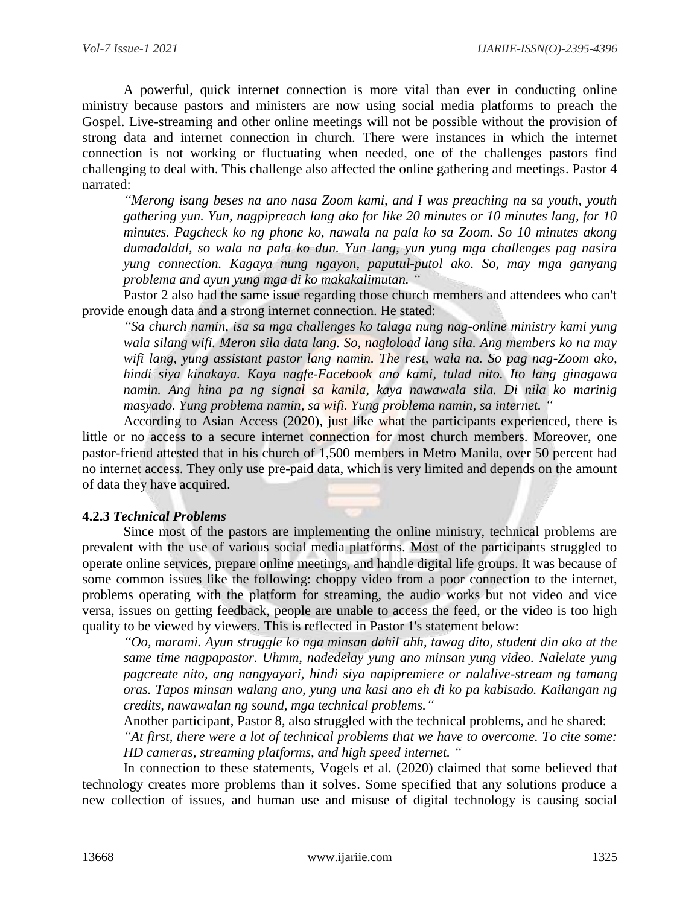A powerful, quick internet connection is more vital than ever in conducting online ministry because pastors and ministers are now using social media platforms to preach the Gospel. Live-streaming and other online meetings will not be possible without the provision of strong data and internet connection in church. There were instances in which the internet connection is not working or fluctuating when needed, one of the challenges pastors find challenging to deal with. This challenge also affected the online gathering and meetings. Pastor 4 narrated:

*"Merong isang beses na ano nasa Zoom kami, and I was preaching na sa youth, youth gathering yun. Yun, nagpipreach lang ako for like 20 minutes or 10 minutes lang, for 10 minutes. Pagcheck ko ng phone ko, nawala na pala ko sa Zoom. So 10 minutes akong dumadaldal, so wala na pala ko dun. Yun lang, yun yung mga challenges pag nasira yung connection. Kagaya nung ngayon, paputul-putol ako. So, may mga ganyang problema and ayun yung mga di ko makakalimutan. "*

Pastor 2 also had the same issue regarding those church members and attendees who can't provide enough data and a strong internet connection. He stated:

*"Sa church namin, isa sa mga challenges ko talaga nung nag-online ministry kami yung wala silang wifi. Meron sila data lang. So, nagloload lang sila. Ang members ko na may wifi lang, yung assistant pastor lang namin. The rest, wala na. So pag nag-Zoom ako, hindi siya kinakaya. Kaya nagfe-Facebook ano kami, tulad nito. Ito lang ginagawa namin. Ang hina pa ng signal sa kanila, kaya nawawala sila. Di nila ko marinig masyado. Yung problema namin, sa wifi. Yung problema namin, sa internet. "*

According to Asian Access (2020), just like what the participants experienced, there is little or no access to a secure internet connection for most church members. Moreover, one pastor-friend attested that in his church of 1,500 members in Metro Manila, over 50 percent had no internet access. They only use pre-paid data, which is very limited and depends on the amount of data they have acquired.

### **4.2.3** *Technical Problems*

Since most of the pastors are implementing the online ministry, technical problems are prevalent with the use of various social media platforms. Most of the participants struggled to operate online services, prepare online meetings, and handle digital life groups. It was because of some common issues like the following: choppy video from a poor connection to the internet, problems operating with the platform for streaming, the audio works but not video and vice versa, issues on getting feedback, people are unable to access the feed, or the video is too high quality to be viewed by viewers. This is reflected in Pastor 1's statement below:

*"Oo, marami. Ayun struggle ko nga minsan dahil ahh, tawag dito, student din ako at the same time nagpapastor. Uhmm, nadedelay yung ano minsan yung video. Nalelate yung pagcreate nito, ang nangyayari, hindi siya napipremiere or nalalive-stream ng tamang oras. Tapos minsan walang ano, yung una kasi ano eh di ko pa kabisado. Kailangan ng credits, nawawalan ng sound, mga technical problems."*

Another participant, Pastor 8, also struggled with the technical problems, and he shared:

*"At first, there were a lot of technical problems that we have to overcome. To cite some: HD cameras, streaming platforms, and high speed internet. "*

In connection to these statements, Vogels et al. (2020) claimed that some believed that technology creates more problems than it solves. Some specified that any solutions produce a new collection of issues, and human use and misuse of digital technology is causing social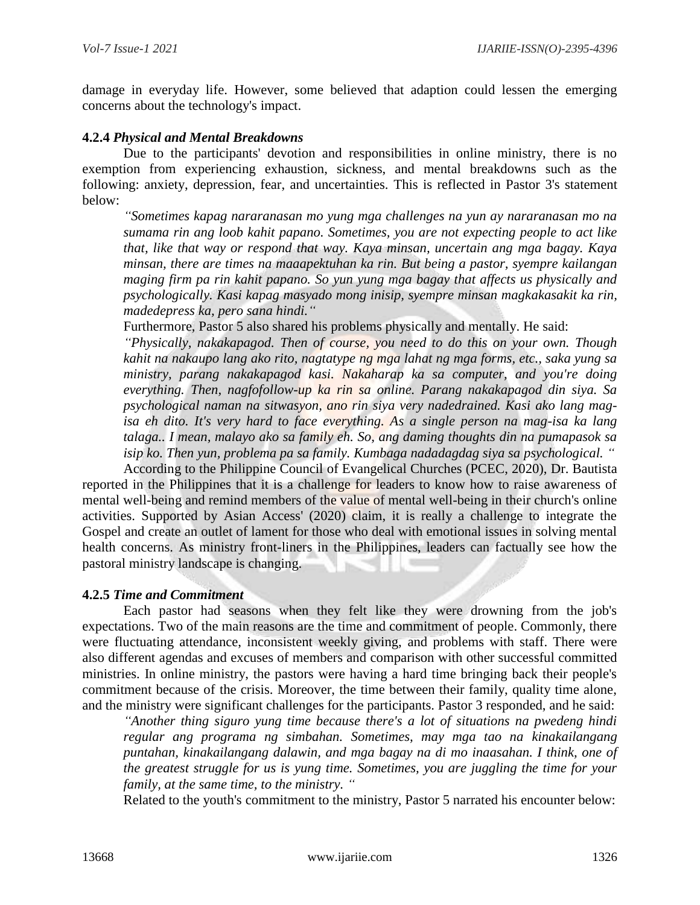damage in everyday life. However, some believed that adaption could lessen the emerging concerns about the technology's impact.

### **4.2.4** *Physical and Mental Breakdowns*

Due to the participants' devotion and responsibilities in online ministry, there is no exemption from experiencing exhaustion, sickness, and mental breakdowns such as the following: anxiety, depression, fear, and uncertainties. This is reflected in Pastor 3's statement below:

*"Sometimes kapag nararanasan mo yung mga challenges na yun ay nararanasan mo na sumama rin ang loob kahit papano. Sometimes, you are not expecting people to act like that, like that way or respond that way. Kaya minsan, uncertain ang mga bagay. Kaya minsan, there are times na maaapektuhan ka rin. But being a pastor, syempre kailangan maging firm pa rin kahit papano. So yun yung mga bagay that affects us physically and psychologically. Kasi kapag masyado mong inisip, syempre minsan magkakasakit ka rin, madedepress ka, pero sana hindi."*

Furthermore, Pastor 5 also shared his problems physically and mentally. He said:

*"Physically, nakakapagod. Then of course, you need to do this on your own. Though kahit na nakaupo lang ako rito, nagtatype ng mga lahat ng mga forms, etc., saka yung sa ministry, parang nakakapagod kasi. Nakaharap ka sa computer, and you're doing everything. Then, nagfofollow-up ka rin sa online. Parang nakakapagod din siya. Sa psychological naman na sitwasyon, ano rin siya very nadedrained. Kasi ako lang magisa eh dito. It's very hard to face everything. As a single person na mag-isa ka lang talaga.. I mean, malayo ako sa family eh. So, ang daming thoughts din na pumapasok sa isip ko. Then yun, problema pa sa family. Kumbaga nadadagdag siya sa psychological. "*

According to the Philippine Council of Evangelical Churches (PCEC, 2020), Dr. Bautista reported in the Philippines that it is a challenge for leaders to know how to raise awareness of mental well-being and remind members of the value of mental well-being in their church's online activities. Supported by Asian Access' (2020) claim, it is really a challenge to integrate the Gospel and create an outlet of lament for those who deal with emotional issues in solving mental health concerns. As ministry front-liners in the Philippines, leaders can factually see how the pastoral ministry landscape is changing.

### **4.2.5** *Time and Commitment*

Each pastor had seasons when they felt like they were drowning from the job's expectations. Two of the main reasons are the time and commitment of people. Commonly, there were fluctuating attendance, inconsistent weekly giving, and problems with staff. There were also different agendas and excuses of members and comparison with other successful committed ministries. In online ministry, the pastors were having a hard time bringing back their people's commitment because of the crisis. Moreover, the time between their family, quality time alone, and the ministry were significant challenges for the participants. Pastor 3 responded, and he said:

*"Another thing siguro yung time because there's a lot of situations na pwedeng hindi regular ang programa ng simbahan. Sometimes, may mga tao na kinakailangang puntahan, kinakailangang dalawin, and mga bagay na di mo inaasahan. I think, one of the greatest struggle for us is yung time. Sometimes, you are juggling the time for your family, at the same time, to the ministry. "*

Related to the youth's commitment to the ministry, Pastor 5 narrated his encounter below: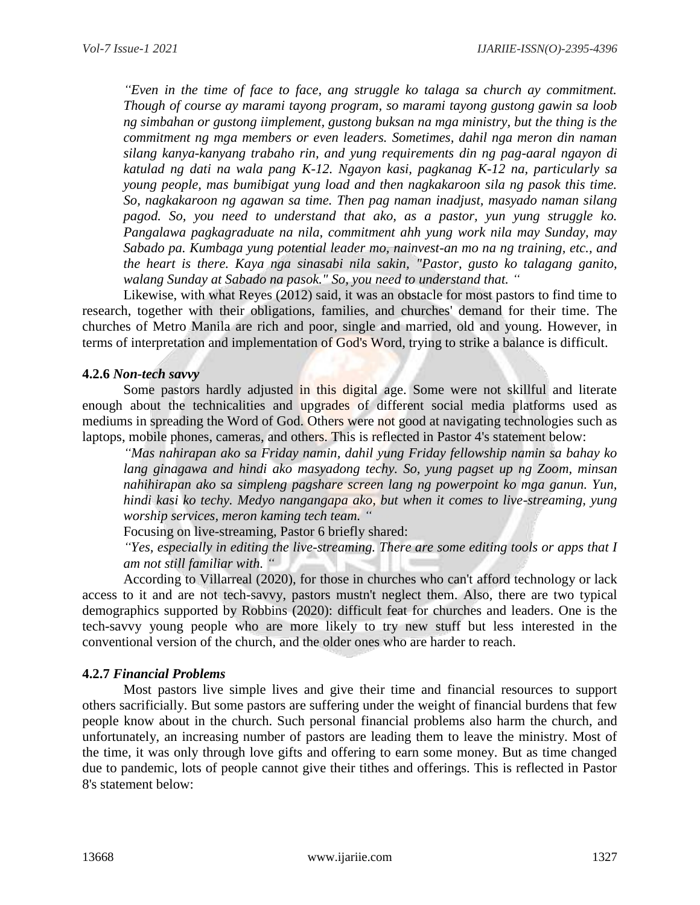*"Even in the time of face to face, ang struggle ko talaga sa church ay commitment. Though of course ay marami tayong program, so marami tayong gustong gawin sa loob ng simbahan or gustong iimplement, gustong buksan na mga ministry, but the thing is the commitment ng mga members or even leaders. Sometimes, dahil nga meron din naman silang kanya-kanyang trabaho rin, and yung requirements din ng pag-aaral ngayon di katulad ng dati na wala pang K-12. Ngayon kasi, pagkanag K-12 na, particularly sa young people, mas bumibigat yung load and then nagkakaroon sila ng pasok this time. So, nagkakaroon ng agawan sa time. Then pag naman inadjust, masyado naman silang pagod. So, you need to understand that ako, as a pastor, yun yung struggle ko. Pangalawa pagkagraduate na nila, commitment ahh yung work nila may Sunday, may Sabado pa. Kumbaga yung potential leader mo, nainvest-an mo na ng training, etc., and the heart is there. Kaya nga sinasabi nila sakin, "Pastor, gusto ko talagang ganito, walang Sunday at Sabado na pasok." So, you need to understand that. "*

Likewise, with what Reyes (2012) said, it was an obstacle for most pastors to find time to research, together with their obligations, families, and churches' demand for their time. The churches of Metro Manila are rich and poor, single and married, old and young. However, in terms of interpretation and implementation of God's Word, trying to strike a balance is difficult.

### **4.2.6** *Non-tech savvy*

Some pastors hardly adjusted in this digital age. Some were not skillful and literate enough about the technicalities and upgrades of different social media platforms used as mediums in spreading the Word of God. Others were not good at navigating technologies such as laptops, mobile phones, cameras, and others. This is reflected in Pastor 4's statement below:

*"Mas nahirapan ako sa Friday namin, dahil yung Friday fellowship namin sa bahay ko lang ginagawa and hindi ako masyadong techy. So, yung pagset up ng Zoom, minsan nahihirapan ako sa simpleng pagshare screen lang ng powerpoint ko mga ganun. Yun, hindi kasi ko techy. Medyo nangangapa ako, but when it comes to live-streaming, yung worship services, meron kaming tech team. "*

Focusing on live-streaming, Pastor 6 briefly shared:

*"Yes, especially in editing the live-streaming. There are some editing tools or apps that I am not still familiar with. "*

According to Villarreal (2020), for those in churches who can't afford technology or lack access to it and are not tech-savvy, pastors mustn't neglect them. Also, there are two typical demographics supported by Robbins (2020): difficult feat for churches and leaders. One is the tech-savvy young people who are more likely to try new stuff but less interested in the conventional version of the church, and the older ones who are harder to reach.

# **4.2.7** *Financial Problems*

Most pastors live simple lives and give their time and financial resources to support others sacrificially. But some pastors are suffering under the weight of financial burdens that few people know about in the church. Such personal financial problems also harm the church, and unfortunately, an increasing number of pastors are leading them to leave the ministry. Most of the time, it was only through love gifts and offering to earn some money. But as time changed due to pandemic, lots of people cannot give their tithes and offerings. This is reflected in Pastor 8's statement below: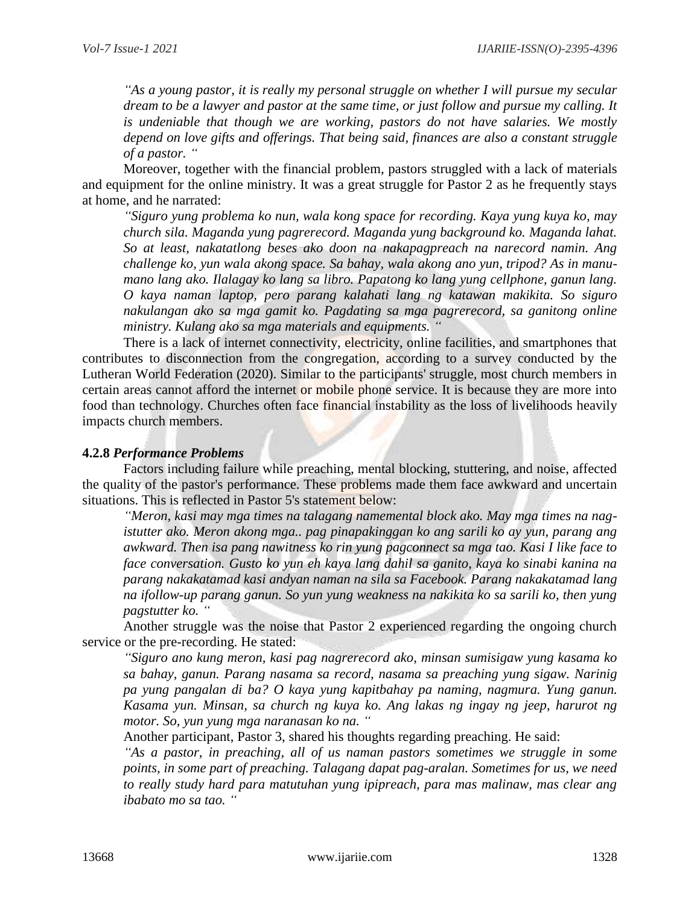*"As a young pastor, it is really my personal struggle on whether I will pursue my secular dream to be a lawyer and pastor at the same time, or just follow and pursue my calling. It is undeniable that though we are working, pastors do not have salaries. We mostly depend on love gifts and offerings. That being said, finances are also a constant struggle of a pastor. "*

Moreover, together with the financial problem, pastors struggled with a lack of materials and equipment for the online ministry. It was a great struggle for Pastor 2 as he frequently stays at home, and he narrated:

*"Siguro yung problema ko nun, wala kong space for recording. Kaya yung kuya ko, may church sila. Maganda yung pagrerecord. Maganda yung background ko. Maganda lahat. So at least, nakatatlong beses ako doon na nakapagpreach na narecord namin. Ang challenge ko, yun wala akong space. Sa bahay, wala akong ano yun, tripod? As in manumano lang ako. Ilalagay ko lang sa libro. Papatong ko lang yung cellphone, ganun lang. O kaya naman laptop, pero parang kalahati lang ng katawan makikita. So siguro nakulangan ako sa mga gamit ko. Pagdating sa mga pagrerecord, sa ganitong online ministry. Kulang ako sa mga materials and equipments. "*

There is a lack of internet connectivity, electricity, online facilities, and smartphones that contributes to disconnection from the congregation, according to a survey conducted by the Lutheran World Federation (2020). Similar to the participants' struggle, most church members in certain areas cannot afford the internet or mobile phone service. It is because they are more into food than technology. Churches often face financial instability as the loss of livelihoods heavily impacts church members.

### **4.2.8** *Performance Problems*

Factors including failure while preaching, mental blocking, stuttering, and noise, affected the quality of the pastor's performance. These problems made them face awkward and uncertain situations. This is reflected in Pastor 5's statement below:

*"Meron, kasi may mga times na talagang namemental block ako. May mga times na nagistutter ako. Meron akong mga.. pag pinapakinggan ko ang sarili ko ay yun, parang ang awkward. Then isa pang nawitness ko rin yung pagconnect sa mga tao. Kasi I like face to face conversation. Gusto ko yun eh kaya lang dahil sa ganito, kaya ko sinabi kanina na parang nakakatamad kasi andyan naman na sila sa Facebook. Parang nakakatamad lang na ifollow-up parang ganun. So yun yung weakness na nakikita ko sa sarili ko, then yung pagstutter ko. "*

Another struggle was the noise that Pastor 2 experienced regarding the ongoing church service or the pre-recording. He stated:

*"Siguro ano kung meron, kasi pag nagrerecord ako, minsan sumisigaw yung kasama ko sa bahay, ganun. Parang nasama sa record, nasama sa preaching yung sigaw. Narinig pa yung pangalan di ba? O kaya yung kapitbahay pa naming, nagmura. Yung ganun. Kasama yun. Minsan, sa church ng kuya ko. Ang lakas ng ingay ng jeep, harurot ng motor. So, yun yung mga naranasan ko na. "*

Another participant, Pastor 3, shared his thoughts regarding preaching. He said:

*"As a pastor, in preaching, all of us naman pastors sometimes we struggle in some points, in some part of preaching. Talagang dapat pag-aralan. Sometimes for us, we need to really study hard para matutuhan yung ipipreach, para mas malinaw, mas clear ang ibabato mo sa tao. "*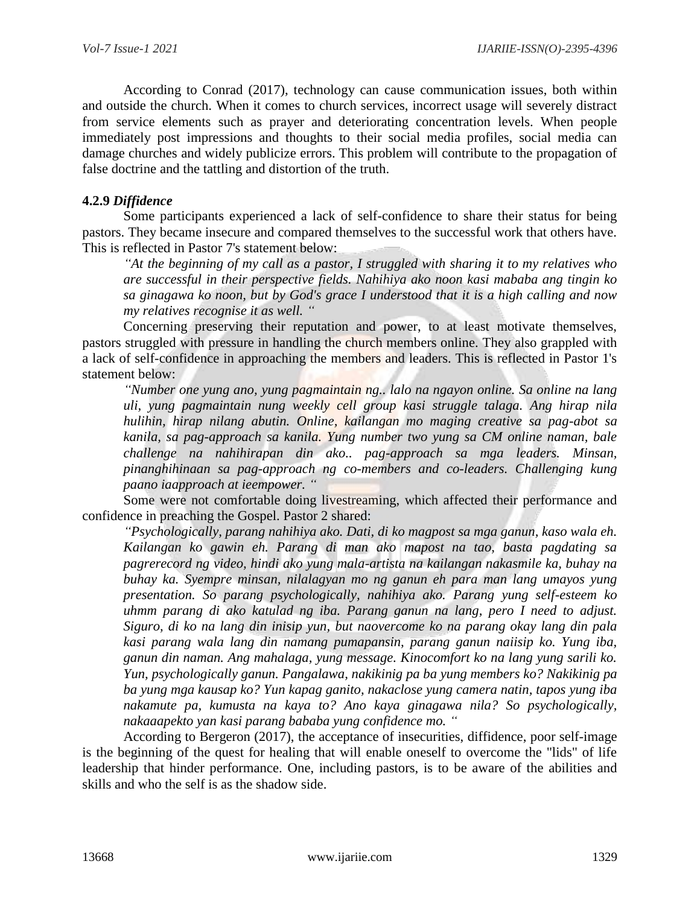According to Conrad (2017), technology can cause communication issues, both within and outside the church. When it comes to church services, incorrect usage will severely distract from service elements such as prayer and deteriorating concentration levels. When people immediately post impressions and thoughts to their social media profiles, social media can damage churches and widely publicize errors. This problem will contribute to the propagation of false doctrine and the tattling and distortion of the truth.

# **4.2.9** *Diffidence*

Some participants experienced a lack of self-confidence to share their status for being pastors. They became insecure and compared themselves to the successful work that others have. This is reflected in Pastor 7's statement below:

*"At the beginning of my call as a pastor, I struggled with sharing it to my relatives who are successful in their perspective fields. Nahihiya ako noon kasi mababa ang tingin ko sa ginagawa ko noon, but by God's grace I understood that it is a high calling and now my relatives recognise it as well. "*

Concerning preserving their reputation and power, to at least motivate themselves, pastors struggled with pressure in handling the church members online. They also grappled with a lack of self-confidence in approaching the members and leaders. This is reflected in Pastor 1's statement below:

*"Number one yung ano, yung pagmaintain ng.. lalo na ngayon online. Sa online na lang uli, yung pagmaintain nung weekly cell group kasi struggle talaga. Ang hirap nila hulihin, hirap nilang abutin. Online, kailangan mo maging creative sa pag-abot sa kanila, sa pag-approach sa kanila. Yung number two yung sa CM online naman, bale challenge na nahihirapan din ako.. pag-approach sa mga leaders. Minsan, pinanghihinaan sa pag-approach ng co-members and co-leaders. Challenging kung paano iaapproach at ieempower. "*

Some were not comfortable doing livestreaming, which affected their performance and confidence in preaching the Gospel. Pastor 2 shared:

*"Psychologically, parang nahihiya ako. Dati, di ko magpost sa mga ganun, kaso wala eh. Kailangan ko gawin eh. Parang di man ako mapost na tao, basta pagdating sa pagrerecord ng video, hindi ako yung mala-artista na kailangan nakasmile ka, buhay na buhay ka. Syempre minsan, nilalagyan mo ng ganun eh para man lang umayos yung presentation. So parang psychologically, nahihiya ako. Parang yung self-esteem ko uhmm parang di ako katulad ng iba. Parang ganun na lang, pero I need to adjust. Siguro, di ko na lang din inisip yun, but naovercome ko na parang okay lang din pala kasi parang wala lang din namang pumapansin, parang ganun naiisip ko. Yung iba, ganun din naman. Ang mahalaga, yung message. Kinocomfort ko na lang yung sarili ko. Yun, psychologically ganun. Pangalawa, nakikinig pa ba yung members ko? Nakikinig pa ba yung mga kausap ko? Yun kapag ganito, nakaclose yung camera natin, tapos yung iba nakamute pa, kumusta na kaya to? Ano kaya ginagawa nila? So psychologically, nakaaapekto yan kasi parang bababa yung confidence mo. "*

According to Bergeron (2017), the acceptance of insecurities, diffidence, poor self-image is the beginning of the quest for healing that will enable oneself to overcome the "lids" of life leadership that hinder performance. One, including pastors, is to be aware of the abilities and skills and who the self is as the shadow side.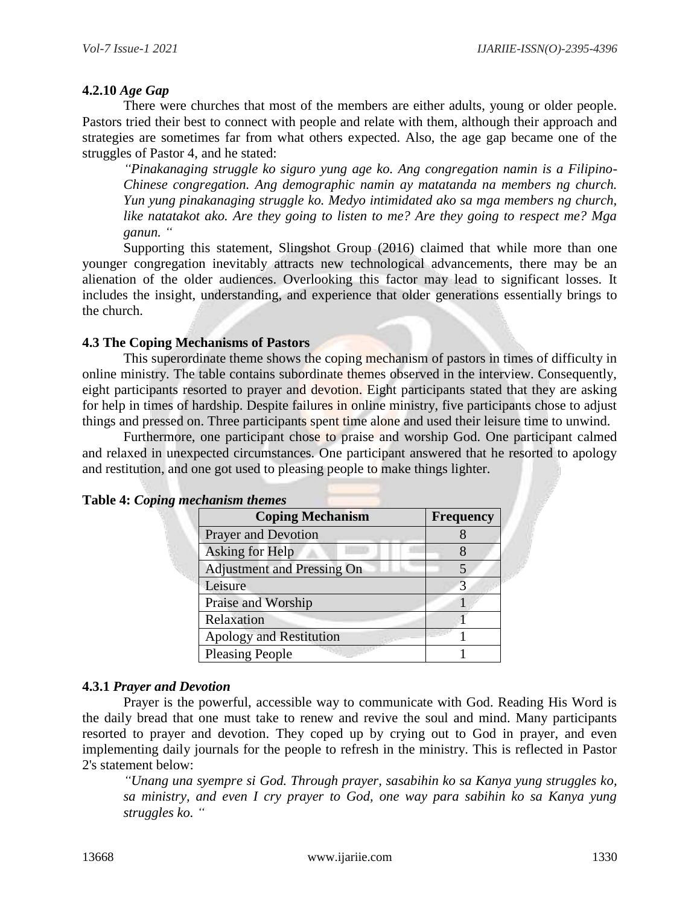# **4.2.10** *Age Gap*

There were churches that most of the members are either adults, young or older people. Pastors tried their best to connect with people and relate with them, although their approach and strategies are sometimes far from what others expected. Also, the age gap became one of the struggles of Pastor 4, and he stated:

*"Pinakanaging struggle ko siguro yung age ko. Ang congregation namin is a Filipino-Chinese congregation. Ang demographic namin ay matatanda na members ng church. Yun yung pinakanaging struggle ko. Medyo intimidated ako sa mga members ng church, like natatakot ako. Are they going to listen to me? Are they going to respect me? Mga ganun. "*

Supporting this statement, Slingshot Group (2016) claimed that while more than one younger congregation inevitably attracts new technological advancements, there may be an alienation of the older audiences. Overlooking this factor may lead to significant losses. It includes the insight, understanding, and experience that older generations essentially brings to the church.

### **4.3 The Coping Mechanisms of Pastors**

This superordinate theme shows the coping mechanism of pastors in times of difficulty in online ministry. The table contains subordinate themes observed in the interview. Consequently, eight participants resorted to prayer and devotion. Eight participants stated that they are asking for help in times of hardship. Despite failures in online ministry, five participants chose to adjust things and pressed on. Three participants spent time alone and used their leisure time to unwind.

Furthermore, one participant chose to praise and worship God. One participant calmed and relaxed in unexpected circumstances. One participant answered that he resorted to apology and restitution, and one got used to pleasing people to make things lighter.

| <b>Coping Mechanism</b>           | <b>Frequency</b> |
|-----------------------------------|------------------|
| <b>Prayer and Devotion</b>        |                  |
| Asking for Help                   |                  |
| <b>Adjustment and Pressing On</b> |                  |
| Leisure                           | 3                |
| Praise and Worship                |                  |
| Relaxation                        |                  |
| <b>Apology and Restitution</b>    |                  |
| <b>Pleasing People</b>            |                  |

|  |  | Table 4: Coping mechanism themes |  |
|--|--|----------------------------------|--|
|--|--|----------------------------------|--|

### **4.3.1** *Prayer and Devotion*

Prayer is the powerful, accessible way to communicate with God. Reading His Word is the daily bread that one must take to renew and revive the soul and mind. Many participants resorted to prayer and devotion. They coped up by crying out to God in prayer, and even implementing daily journals for the people to refresh in the ministry. This is reflected in Pastor 2's statement below:

*"Unang una syempre si God. Through prayer, sasabihin ko sa Kanya yung struggles ko, sa ministry, and even I cry prayer to God, one way para sabihin ko sa Kanya yung struggles ko. "*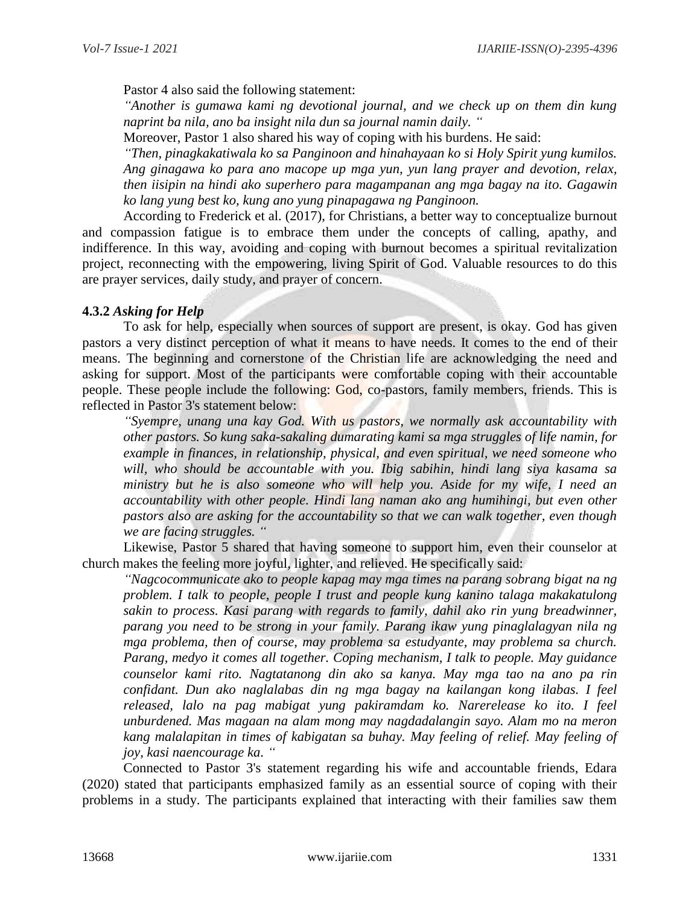Pastor 4 also said the following statement:

*"Another is gumawa kami ng devotional journal, and we check up on them din kung naprint ba nila, ano ba insight nila dun sa journal namin daily. "*

Moreover, Pastor 1 also shared his way of coping with his burdens. He said:

*"Then, pinagkakatiwala ko sa Panginoon and hinahayaan ko si Holy Spirit yung kumilos. Ang ginagawa ko para ano macope up mga yun, yun lang prayer and devotion, relax, then iisipin na hindi ako superhero para magampanan ang mga bagay na ito. Gagawin ko lang yung best ko, kung ano yung pinapagawa ng Panginoon.*

According to Frederick et al. (2017), for Christians, a better way to conceptualize burnout and compassion fatigue is to embrace them under the concepts of calling, apathy, and indifference. In this way, avoiding and coping with burnout becomes a spiritual revitalization project, reconnecting with the empowering, living Spirit of God. Valuable resources to do this are prayer services, daily study, and prayer of concern.

# **4.3.2** *Asking for Help*

To ask for help, especially when sources of support are present, is okay. God has given pastors a very distinct perception of what it means to have needs. It comes to the end of their means. The beginning and cornerstone of the Christian life are acknowledging the need and asking for support. Most of the participants were comfortable coping with their accountable people. These people include the following: God, co-pastors, family members, friends. This is reflected in Pastor 3's statement below:

*"Syempre, unang una kay God. With us pastors, we normally ask accountability with other pastors. So kung saka-sakaling dumarating kami sa mga struggles of life namin, for example in finances, in relationship, physical, and even spiritual, we need someone who will, who should be accountable with you. Ibig sabihin, hindi lang siya kasama sa ministry but he is also someone who will help you. Aside for my wife, I need an accountability with other people. Hindi lang naman ako ang humihingi, but even other pastors also are asking for the accountability so that we can walk together, even though we are facing struggles. "*

Likewise, Pastor 5 shared that having someone to support him, even their counselor at church makes the feeling more joyful, lighter, and relieved. He specifically said:

*"Nagcocommunicate ako to people kapag may mga times na parang sobrang bigat na ng problem. I talk to people, people I trust and people kung kanino talaga makakatulong sakin to process. Kasi parang with regards to family, dahil ako rin yung breadwinner, parang you need to be strong in your family. Parang ikaw yung pinaglalagyan nila ng mga problema, then of course, may problema sa estudyante, may problema sa church. Parang, medyo it comes all together. Coping mechanism, I talk to people. May guidance counselor kami rito. Nagtatanong din ako sa kanya. May mga tao na ano pa rin confidant. Dun ako naglalabas din ng mga bagay na kailangan kong ilabas. I feel released, lalo na pag mabigat yung pakiramdam ko. Narerelease ko ito. I feel unburdened. Mas magaan na alam mong may nagdadalangin sayo. Alam mo na meron kang malalapitan in times of kabigatan sa buhay. May feeling of relief. May feeling of joy, kasi naencourage ka. "*

Connected to Pastor 3's statement regarding his wife and accountable friends, Edara (2020) stated that participants emphasized family as an essential source of coping with their problems in a study. The participants explained that interacting with their families saw them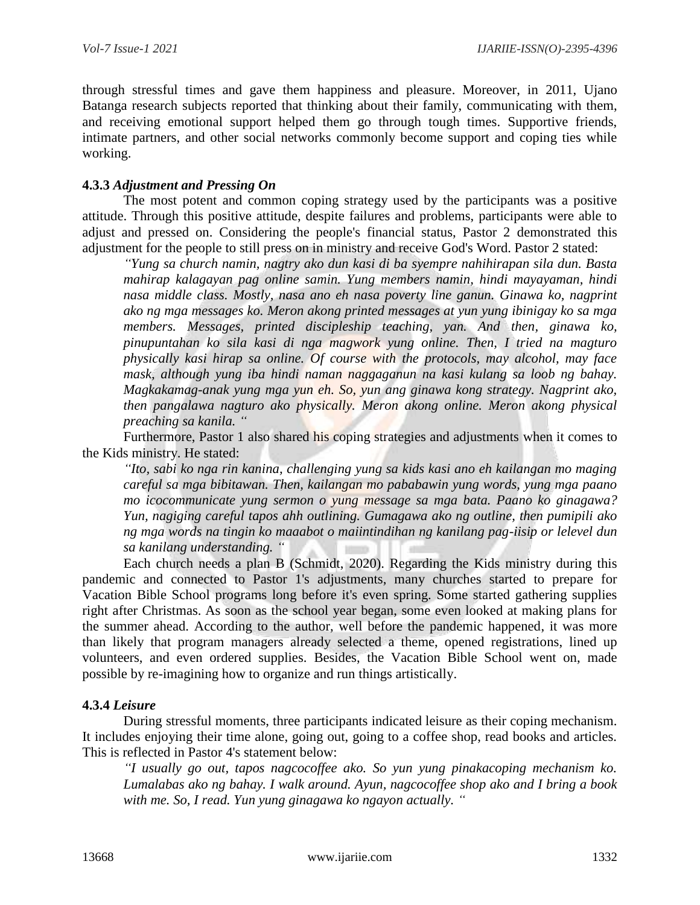through stressful times and gave them happiness and pleasure. Moreover, in 2011, Ujano Batanga research subjects reported that thinking about their family, communicating with them, and receiving emotional support helped them go through tough times. Supportive friends, intimate partners, and other social networks commonly become support and coping ties while working.

# **4.3.3** *Adjustment and Pressing On*

The most potent and common coping strategy used by the participants was a positive attitude. Through this positive attitude, despite failures and problems, participants were able to adjust and pressed on. Considering the people's financial status, Pastor 2 demonstrated this adjustment for the people to still press on in ministry and receive God's Word. Pastor 2 stated:

*"Yung sa church namin, nagtry ako dun kasi di ba syempre nahihirapan sila dun. Basta mahirap kalagayan pag online samin. Yung members namin, hindi mayayaman, hindi nasa middle class. Mostly, nasa ano eh nasa poverty line ganun. Ginawa ko, nagprint ako ng mga messages ko. Meron akong printed messages at yun yung ibinigay ko sa mga members. Messages, printed discipleship teaching, yan. And then, ginawa ko, pinupuntahan ko sila kasi di nga magwork yung online. Then, I tried na magturo physically kasi hirap sa online. Of course with the protocols, may alcohol, may face mask, although yung iba hindi naman naggaganun na kasi kulang sa loob ng bahay. Magkakamag-anak yung mga yun eh. So, yun ang ginawa kong strategy. Nagprint ako, then pangalawa nagturo ako physically. Meron akong online. Meron akong physical preaching sa kanila. "*

Furthermore, Pastor 1 also shared his coping strategies and adjustments when it comes to the Kids ministry. He stated:

*"Ito, sabi ko nga rin kanina, challenging yung sa kids kasi ano eh kailangan mo maging careful sa mga bibitawan. Then, kailangan mo pababawin yung words, yung mga paano mo icocommunicate yung sermon o yung message sa mga bata. Paano ko ginagawa? Yun, nagiging careful tapos ahh outlining. Gumagawa ako ng outline, then pumipili ako ng mga words na tingin ko maaabot o maiintindihan ng kanilang pag-iisip or lelevel dun sa kanilang understanding. "*

Each church needs a plan B (Schmidt, 2020). Regarding the Kids ministry during this pandemic and connected to Pastor 1's adjustments, many churches started to prepare for Vacation Bible School programs long before it's even spring. Some started gathering supplies right after Christmas. As soon as the school year began, some even looked at making plans for the summer ahead. According to the author, well before the pandemic happened, it was more than likely that program managers already selected a theme, opened registrations, lined up volunteers, and even ordered supplies. Besides, the Vacation Bible School went on, made possible by re-imagining how to organize and run things artistically.

### **4.3.4** *Leisure*

During stressful moments, three participants indicated leisure as their coping mechanism. It includes enjoying their time alone, going out, going to a coffee shop, read books and articles. This is reflected in Pastor 4's statement below:

*"I usually go out, tapos nagcocoffee ako. So yun yung pinakacoping mechanism ko. Lumalabas ako ng bahay. I walk around. Ayun, nagcocoffee shop ako and I bring a book with me. So, I read. Yun yung ginagawa ko ngayon actually. "*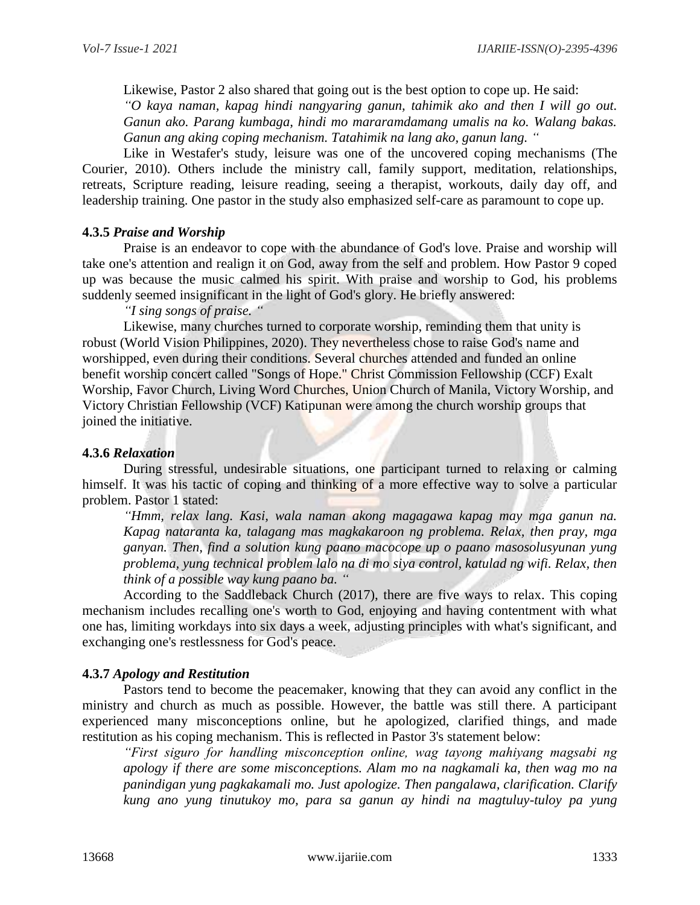Likewise, Pastor 2 also shared that going out is the best option to cope up. He said:

*"O kaya naman, kapag hindi nangyaring ganun, tahimik ako and then I will go out. Ganun ako. Parang kumbaga, hindi mo mararamdamang umalis na ko. Walang bakas. Ganun ang aking coping mechanism. Tatahimik na lang ako, ganun lang. "*

Like in Westafer's study, leisure was one of the uncovered coping mechanisms (The Courier, 2010). Others include the ministry call, family support, meditation, relationships, retreats, Scripture reading, leisure reading, seeing a therapist, workouts, daily day off, and leadership training. One pastor in the study also emphasized self-care as paramount to cope up.

### **4.3.5** *Praise and Worship*

Praise is an endeavor to cope with the abundance of God's love. Praise and worship will take one's attention and realign it on God, away from the self and problem. How Pastor 9 coped up was because the music calmed his spirit. With praise and worship to God, his problems suddenly seemed insignificant in the light of God's glory. He briefly answered:

*"I sing songs of praise. "*

Likewise, many churches turned to corporate worship, reminding them that unity is robust (World Vision Philippines, 2020). They nevertheless chose to raise God's name and worshipped, even during their conditions. Several churches attended and funded an online benefit worship concert called "Songs of Hope." Christ Commission Fellowship (CCF) Exalt Worship, Favor Church, Living Word Churches, Union Church of Manila, Victory Worship, and Victory Christian Fellowship (VCF) Katipunan were among the church worship groups that joined the initiative.

# **4.3.6** *Relaxation*

During stressful, undesirable situations, one participant turned to relaxing or calming himself. It was his tactic of coping and thinking of a more effective way to solve a particular problem. Pastor 1 stated:

*"Hmm, relax lang. Kasi, wala naman akong magagawa kapag may mga ganun na. Kapag nataranta ka, talagang mas magkakaroon ng problema. Relax, then pray, mga ganyan. Then, find a solution kung paano macocope up o paano masosolusyunan yung problema, yung technical problem lalo na di mo siya control, katulad ng wifi. Relax, then think of a possible way kung paano ba. "*

According to the Saddleback Church (2017), there are five ways to relax. This coping mechanism includes recalling one's worth to God, enjoying and having contentment with what one has, limiting workdays into six days a week, adjusting principles with what's significant, and exchanging one's restlessness for God's peace.

### **4.3.7** *Apology and Restitution*

Pastors tend to become the peacemaker, knowing that they can avoid any conflict in the ministry and church as much as possible. However, the battle was still there. A participant experienced many misconceptions online, but he apologized, clarified things, and made restitution as his coping mechanism. This is reflected in Pastor 3's statement below:

*"First siguro for handling misconception online, wag tayong mahiyang magsabi ng apology if there are some misconceptions. Alam mo na nagkamali ka, then wag mo na panindigan yung pagkakamali mo. Just apologize. Then pangalawa, clarification. Clarify kung ano yung tinutukoy mo, para sa ganun ay hindi na magtuluy-tuloy pa yung*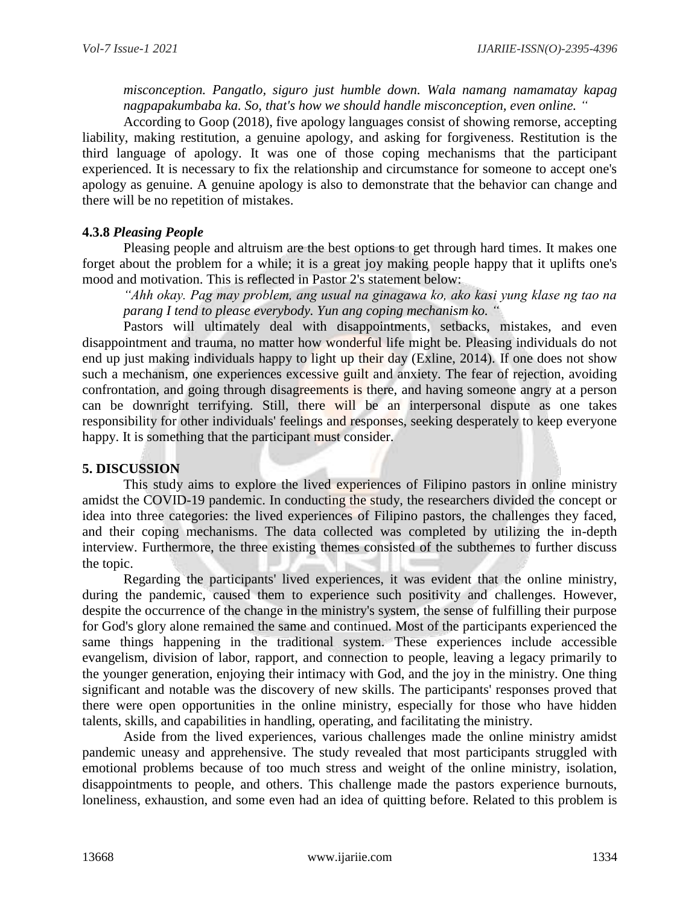*misconception. Pangatlo, siguro just humble down. Wala namang namamatay kapag nagpapakumbaba ka. So, that's how we should handle misconception, even online. "*

According to Goop (2018), five apology languages consist of showing remorse, accepting liability, making restitution, a genuine apology, and asking for forgiveness. Restitution is the third language of apology. It was one of those coping mechanisms that the participant experienced. It is necessary to fix the relationship and circumstance for someone to accept one's apology as genuine. A genuine apology is also to demonstrate that the behavior can change and there will be no repetition of mistakes.

# **4.3.8** *Pleasing People*

Pleasing people and altruism are the best options to get through hard times. It makes one forget about the problem for a while; it is a great joy making people happy that it uplifts one's mood and motivation. This is reflected in Pastor 2's statement below:

*"Ahh okay. Pag may problem, ang usual na ginagawa ko, ako kasi yung klase ng tao na parang I tend to please everybody. Yun ang coping mechanism ko. "*

Pastors will ultimately deal with disappointments, setbacks, mistakes, and even disappointment and trauma, no matter how wonderful life might be. Pleasing individuals do not end up just making individuals happy to light up their day (Exline, 2014). If one does not show such a mechanism, one experiences excessive guilt and anxiety. The fear of rejection, avoiding confrontation, and going through disagreements is there, and having someone angry at a person can be downright terrifying. Still, there will be an interpersonal dispute as one takes responsibility for other individuals' feelings and responses, seeking desperately to keep everyone happy. It is something that the participant must consider.

# **5. DISCUSSION**

This study aims to explore the lived experiences of Filipino pastors in online ministry amidst the COVID-19 pandemic. In conducting the study, the researchers divided the concept or idea into three categories: the lived experiences of Filipino pastors, the challenges they faced, and their coping mechanisms. The data collected was completed by utilizing the in-depth interview. Furthermore, the three existing themes consisted of the subthemes to further discuss the topic.

Regarding the participants' lived experiences, it was evident that the online ministry, during the pandemic, caused them to experience such positivity and challenges. However, despite the occurrence of the change in the ministry's system, the sense of fulfilling their purpose for God's glory alone remained the same and continued. Most of the participants experienced the same things happening in the traditional system. These experiences include accessible evangelism, division of labor, rapport, and connection to people, leaving a legacy primarily to the younger generation, enjoying their intimacy with God, and the joy in the ministry. One thing significant and notable was the discovery of new skills. The participants' responses proved that there were open opportunities in the online ministry, especially for those who have hidden talents, skills, and capabilities in handling, operating, and facilitating the ministry.

Aside from the lived experiences, various challenges made the online ministry amidst pandemic uneasy and apprehensive. The study revealed that most participants struggled with emotional problems because of too much stress and weight of the online ministry, isolation, disappointments to people, and others. This challenge made the pastors experience burnouts, loneliness, exhaustion, and some even had an idea of quitting before. Related to this problem is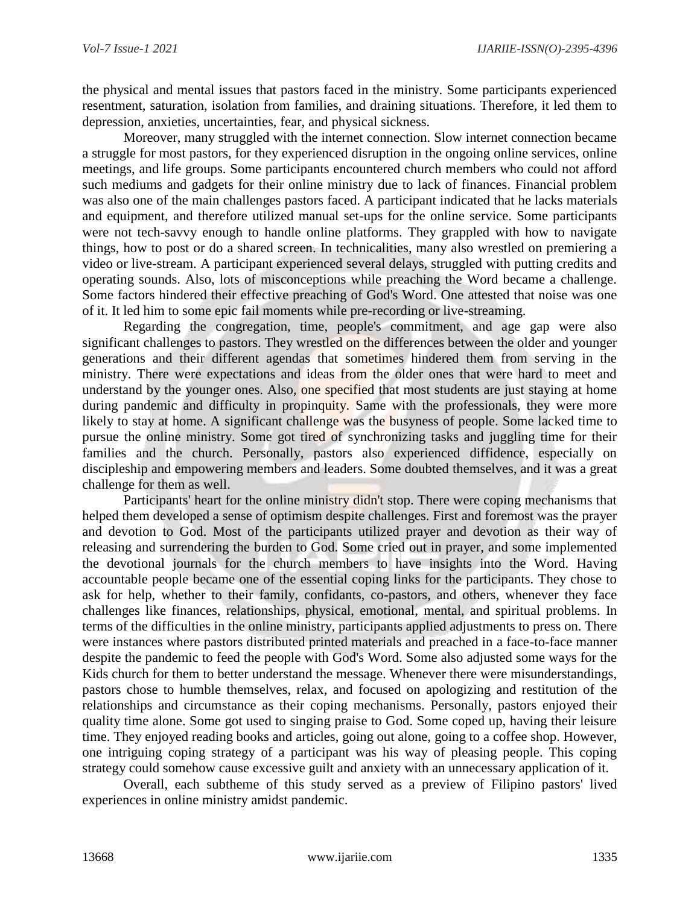the physical and mental issues that pastors faced in the ministry. Some participants experienced resentment, saturation, isolation from families, and draining situations. Therefore, it led them to depression, anxieties, uncertainties, fear, and physical sickness.

Moreover, many struggled with the internet connection. Slow internet connection became a struggle for most pastors, for they experienced disruption in the ongoing online services, online meetings, and life groups. Some participants encountered church members who could not afford such mediums and gadgets for their online ministry due to lack of finances. Financial problem was also one of the main challenges pastors faced. A participant indicated that he lacks materials and equipment, and therefore utilized manual set-ups for the online service. Some participants were not tech-savvy enough to handle online platforms. They grappled with how to navigate things, how to post or do a shared screen. In technicalities, many also wrestled on premiering a video or live-stream. A participant experienced several delays, struggled with putting credits and operating sounds. Also, lots of misconceptions while preaching the Word became a challenge. Some factors hindered their effective preaching of God's Word. One attested that noise was one of it. It led him to some epic fail moments while pre-recording or live-streaming.

Regarding the congregation, time, people's commitment, and age gap were also significant challenges to pastors. They wrestled on the differences between the older and younger generations and their different agendas that sometimes hindered them from serving in the ministry. There were expectations and ideas from the older ones that were hard to meet and understand by the younger ones. Also, one specified that most students are just staying at home during pandemic and difficulty in propinquity. Same with the professionals, they were more likely to stay at home. A significant challenge was the busyness of people. Some lacked time to pursue the online ministry. Some got tired of synchronizing tasks and juggling time for their families and the church. Personally, pastors also experienced diffidence, especially on discipleship and empowering members and leaders. Some doubted themselves, and it was a great challenge for them as well.

Participants' heart for the online ministry didn't stop. There were coping mechanisms that helped them developed a sense of optimism despite challenges. First and foremost was the prayer and devotion to God. Most of the participants utilized prayer and devotion as their way of releasing and surrendering the burden to God. Some cried out in prayer, and some implemented the devotional journals for the church members to have insights into the Word. Having accountable people became one of the essential coping links for the participants. They chose to ask for help, whether to their family, confidants, co-pastors, and others, whenever they face challenges like finances, relationships, physical, emotional, mental, and spiritual problems. In terms of the difficulties in the online ministry, participants applied adjustments to press on. There were instances where pastors distributed printed materials and preached in a face-to-face manner despite the pandemic to feed the people with God's Word. Some also adjusted some ways for the Kids church for them to better understand the message. Whenever there were misunderstandings, pastors chose to humble themselves, relax, and focused on apologizing and restitution of the relationships and circumstance as their coping mechanisms. Personally, pastors enjoyed their quality time alone. Some got used to singing praise to God. Some coped up, having their leisure time. They enjoyed reading books and articles, going out alone, going to a coffee shop. However, one intriguing coping strategy of a participant was his way of pleasing people. This coping strategy could somehow cause excessive guilt and anxiety with an unnecessary application of it.

Overall, each subtheme of this study served as a preview of Filipino pastors' lived experiences in online ministry amidst pandemic.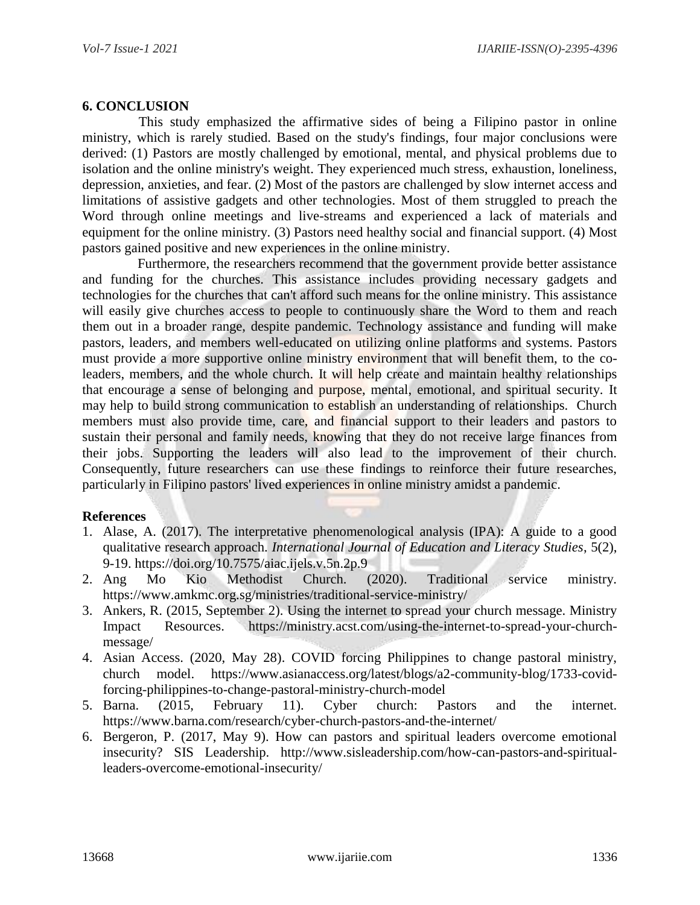# **6. CONCLUSION**

This study emphasized the affirmative sides of being a Filipino pastor in online ministry, which is rarely studied. Based on the study's findings, four major conclusions were derived: (1) Pastors are mostly challenged by emotional, mental, and physical problems due to isolation and the online ministry's weight. They experienced much stress, exhaustion, loneliness, depression, anxieties, and fear. (2) Most of the pastors are challenged by slow internet access and limitations of assistive gadgets and other technologies. Most of them struggled to preach the Word through online meetings and live-streams and experienced a lack of materials and equipment for the online ministry. (3) Pastors need healthy social and financial support. (4) Most pastors gained positive and new experiences in the online ministry.

Furthermore, the researchers recommend that the government provide better assistance and funding for the churches. This assistance includes providing necessary gadgets and technologies for the churches that can't afford such means for the online ministry. This assistance will easily give churches access to people to continuously share the Word to them and reach them out in a broader range, despite pandemic. Technology assistance and funding will make pastors, leaders, and members well-educated on utilizing online platforms and systems. Pastors must provide a more supportive online ministry environment that will benefit them, to the coleaders, members, and the whole church. It will help create and maintain healthy relationships that encourage a sense of belonging and purpose, mental, emotional, and spiritual security. It may help to build strong communication to establish an understanding of relationships. Church members must also provide time, care, and financial support to their leaders and pastors to sustain their personal and family needs, knowing that they do not receive large finances from their jobs. Supporting the leaders will also lead to the improvement of their church. Consequently, future researchers can use these findings to reinforce their future researches, particularly in Filipino pastors' lived experiences in online ministry amidst a pandemic.

# **References**

- 1. Alase, A. (2017). The interpretative phenomenological analysis (IPA): A guide to a good qualitative research approach. *International Journal of Education and Literacy Studies*, 5(2), 9-19.<https://doi.org/10.7575/aiac.ijels.v.5n.2p.9>
- 2. Ang Mo Kio Methodist Church. (2020). Traditional service ministry. <https://www.amkmc.org.sg/ministries/traditional-service-ministry/>
- 3. Ankers, R. (2015, September 2). Using the internet to spread your church message. Ministry Impact Resources. [https://ministry.acst.com/using-the-internet-to-spread-your-church](https://ministry.acst.com/using-the-internet-to-spread-your-church-message/)[message/](https://ministry.acst.com/using-the-internet-to-spread-your-church-message/)
- 4. Asian Access. (2020, May 28). COVID forcing Philippines to change pastoral ministry, church model. [https://www.asianaccess.org/latest/blogs/a2-community-blog/1733-covid](https://www.asianaccess.org/latest/blogs/a2-community-blog/1733-covid-forcing-philippines-to-change-pastoral-ministry-church-model)[forcing-philippines-to-change-pastoral-ministry-church-model](https://www.asianaccess.org/latest/blogs/a2-community-blog/1733-covid-forcing-philippines-to-change-pastoral-ministry-church-model)
- 5. Barna. (2015, February 11). Cyber church: Pastors and the internet. <https://www.barna.com/research/cyber-church-pastors-and-the-internet/>
- 6. Bergeron, P. (2017, May 9). How can pastors and spiritual leaders overcome emotional insecurity? SIS Leadership. [http://www.sisleadership.com/how-can-pastors-and-spiritual](http://www.sisleadership.com/how-can-pastors-and-spiritual-leaders-overcome-emotional-insecurity/)[leaders-overcome-emotional-insecurity/](http://www.sisleadership.com/how-can-pastors-and-spiritual-leaders-overcome-emotional-insecurity/)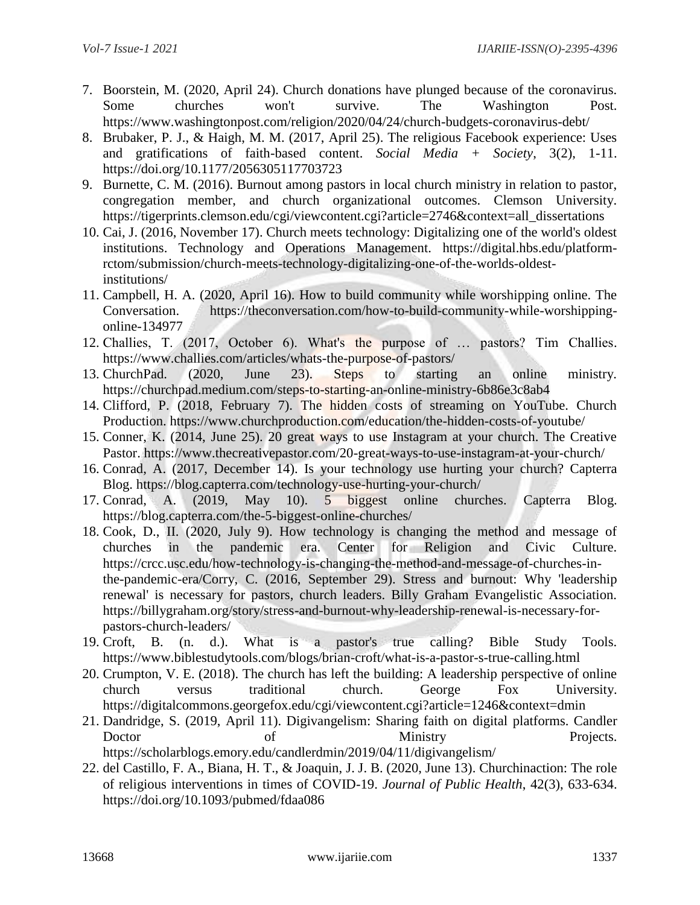- 7. Boorstein, M. (2020, April 24). Church donations have plunged because of the coronavirus. Some churches won't survive. The Washington Post. <https://www.washingtonpost.com/religion/2020/04/24/church-budgets-coronavirus-debt/>
- 8. Brubaker, P. J., & Haigh, M. M. (2017, April 25). The religious Facebook experience: Uses and gratifications of faith-based content. *Social Media + Society*, 3(2), 1-11. [https://doi.org/10.1177/2056305117703723](https://doi.org/10.1177%2F2056305117703723)
- 9. Burnette, C. M. (2016). Burnout among pastors in local church ministry in relation to pastor, congregation member, and church organizational outcomes. Clemson University. [https://tigerprints.clemson.edu/cgi/viewcontent.cgi?article=2746&context=all\\_dissertations](https://tigerprints.clemson.edu/cgi/viewcontent.cgi?article=2746&context=all_dissertations)
- 10. Cai, J. (2016, November 17). Church meets technology: Digitalizing one of the world's oldest institutions. Technology and Operations Management. [https://digital.hbs.edu/platform](https://digital.hbs.edu/platform-rctom/submission/church-meets-technology-digitalizing-one-of-the-worlds-oldest-institutions/)[rctom/submission/church-meets-technology-digitalizing-one-of-the-worlds-oldest](https://digital.hbs.edu/platform-rctom/submission/church-meets-technology-digitalizing-one-of-the-worlds-oldest-institutions/)[institutions/](https://digital.hbs.edu/platform-rctom/submission/church-meets-technology-digitalizing-one-of-the-worlds-oldest-institutions/)
- 11. Campbell, H. A. (2020, April 16). How to build community while worshipping online. The Conversation. [https://theconversation.com/how-to-build-community-while-worshipping](https://theconversation.com/how-to-build-community-while-worshipping-online-134977)[online-134977](https://theconversation.com/how-to-build-community-while-worshipping-online-134977)
- 12. Challies, T. (2017, October 6). What's the purpose of … pastors? Tim Challies. <https://www.challies.com/articles/whats-the-purpose-of-pastors/>
- 13. ChurchPad. (2020, June 23). Steps to starting an online ministry. <https://churchpad.medium.com/steps-to-starting-an-online-ministry-6b86e3c8ab4>
- 14. Clifford, P. (2018, February 7). The hidden costs of streaming on YouTube. Church Production.<https://www.churchproduction.com/education/the-hidden-costs-of-youtube/>
- 15. Conner, K. (2014, June 25). 20 great ways to use Instagram at your church. The Creative Pastor.<https://www.thecreativepastor.com/20-great-ways-to-use-instagram-at-your-church/>
- 16. Conrad, A. (2017, December 14). Is your technology use hurting your church? Capterra Blog.<https://blog.capterra.com/technology-use-hurting-your-church/>
- 17. Conrad, A. (2019, May 10). 5 biggest online churches. Capterra Blog. <https://blog.capterra.com/the-5-biggest-online-churches/>
- 18. Cook, D., II. (2020, July 9). How technology is changing the method and message of churches in the pandemic era. Center for Religion and Civic Culture. [https://crcc.usc.edu/how-technology-is-changing-the-method-and-message-of-churches-in](https://crcc.usc.edu/how-technology-is-changing-the-method-and-message-of-churches-in-the-pandemic-era/)[the-pandemic-era/C](https://crcc.usc.edu/how-technology-is-changing-the-method-and-message-of-churches-in-the-pandemic-era/)orry, C. (2016, September 29). Stress and burnout: Why 'leadership renewal' is necessary for pastors, church leaders. Billy Graham Evangelistic Association. [https://billygraham.org/story/stress-and-burnout-why-leadership-renewal-is-necessary-for](https://billygraham.org/story/stress-and-burnout-why-leadership-renewal-is-necessary-for-pastors-church-leaders/)[pastors-church-leaders/](https://billygraham.org/story/stress-and-burnout-why-leadership-renewal-is-necessary-for-pastors-church-leaders/)
- 19. Croft, B. (n. d.). What is a pastor's true calling? Bible Study Tools. <https://www.biblestudytools.com/blogs/brian-croft/what-is-a-pastor-s-true-calling.html>
- 20. Crumpton, V. E. (2018). The church has left the building: A leadership perspective of online church versus traditional church. George Fox University. <https://digitalcommons.georgefox.edu/cgi/viewcontent.cgi?article=1246&context=dmin>
- 21. Dandridge, S. (2019, April 11). Digivangelism: Sharing faith on digital platforms. Candler Doctor of Ministry Projects. <https://scholarblogs.emory.edu/candlerdmin/2019/04/11/digivangelism/>
- 22. del Castillo, F. A., Biana, H. T., & Joaquin, J. J. B. (2020, June 13). Churchinaction: The role of religious interventions in times of COVID-19. *Journal of Public Health*, 42(3), 633-634. <https://doi.org/10.1093/pubmed/fdaa086>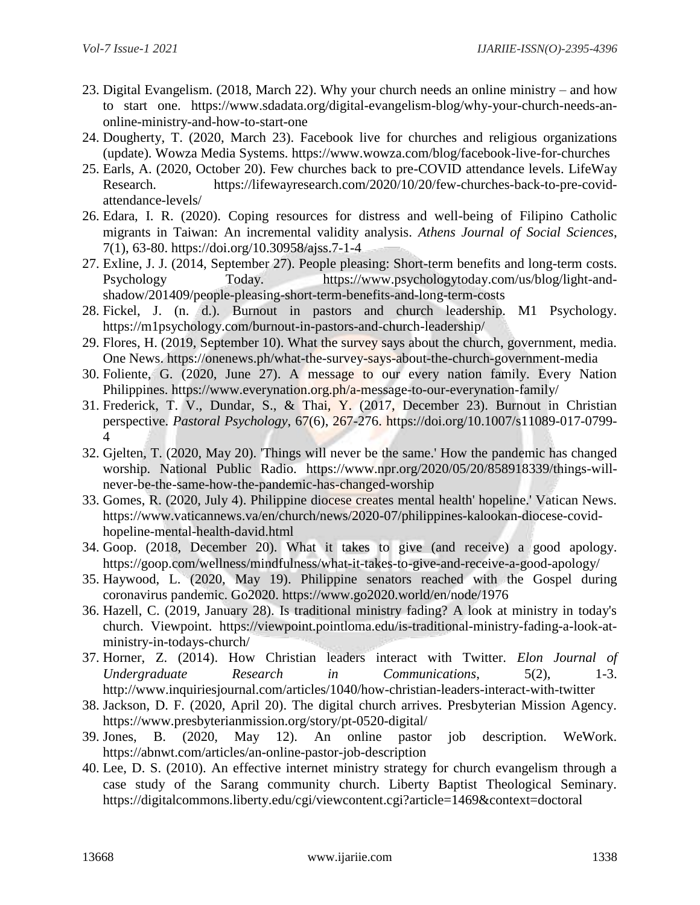- 23. Digital Evangelism. (2018, March 22). Why your church needs an online ministry and how to start one. [https://www.sdadata.org/digital-evangelism-blog/why-your-church-needs-an](https://www.sdadata.org/digital-evangelism-blog/why-your-church-needs-an-online-ministry-and-how-to-start-one)[online-ministry-and-how-to-start-one](https://www.sdadata.org/digital-evangelism-blog/why-your-church-needs-an-online-ministry-and-how-to-start-one)
- 24. Dougherty, T. (2020, March 23). Facebook live for churches and religious organizations (update). Wowza Media Systems.<https://www.wowza.com/blog/facebook-live-for-churches>
- 25. Earls, A. (2020, October 20). Few churches back to pre-COVID attendance levels. LifeWay Research. [https://lifewayresearch.com/2020/10/20/few-churches-back-to-pre-covid](https://lifewayresearch.com/2020/10/20/few-churches-back-to-pre-covid-attendance-levels/)[attendance-levels/](https://lifewayresearch.com/2020/10/20/few-churches-back-to-pre-covid-attendance-levels/)
- 26. Edara, I. R. (2020). Coping resources for distress and well-being of Filipino Catholic migrants in Taiwan: An incremental validity analysis. *Athens Journal of Social Sciences*, 7(1), 63-80.<https://doi.org/10.30958/ajss.7-1-4>
- 27. Exline, J. J. (2014, September 27). People pleasing: Short-term benefits and long-term costs. Psychology Today. [https://www.psychologytoday.com/us/blog/light-and](https://www.psychologytoday.com/us/blog/light-and-shadow/201409/people-pleasing-short-term-benefits-and-long-term-costs)[shadow/201409/people-pleasing-short-term-benefits-and-long-term-costs](https://www.psychologytoday.com/us/blog/light-and-shadow/201409/people-pleasing-short-term-benefits-and-long-term-costs)
- 28. Fickel, J. (n. d.). Burnout in pastors and church leadership. M1 Psychology. <https://m1psychology.com/burnout-in-pastors-and-church-leadership/>
- 29. Flores, H. (2019, September 10). What the survey says about the church, government, media. One News.<https://onenews.ph/what-the-survey-says-about-the-church-government-media>
- 30. Foliente, G. (2020, June 27). A message to our every nation family. Every Nation Philippines.<https://www.everynation.org.ph/a-message-to-our-everynation-family/>
- 31. Frederick, T. V., Dundar, S., & Thai, Y. (2017, December 23). Burnout in Christian perspective. *Pastoral Psychology*, 67(6), 267-276. [https://doi.org/10.1007/s11089-017-0799-](https://doi.org/10.1007/s11089-017-0799-4) [4](https://doi.org/10.1007/s11089-017-0799-4)
- 32. Gjelten, T. (2020, May 20). 'Things will never be the same.' How the pandemic has changed worship. National Public Radio. [https://www.npr.org/2020/05/20/858918339/things-will](https://www.npr.org/2020/05/20/858918339/things-will-never-be-the-same-how-the-pandemic-has-changed-worship)[never-be-the-same-how-the-pandemic-has-changed-worship](https://www.npr.org/2020/05/20/858918339/things-will-never-be-the-same-how-the-pandemic-has-changed-worship)
- 33. Gomes, R. (2020, July 4). Philippine diocese creates mental health' hopeline.' Vatican News. [https://www.vaticannews.va/en/church/news/2020-07/philippines-kalookan-diocese-covid](https://www.vaticannews.va/en/church/news/2020-07/philippines-kalookan-diocese-covid-hopeline-mental-health-david.html)[hopeline-mental-health-david.html](https://www.vaticannews.va/en/church/news/2020-07/philippines-kalookan-diocese-covid-hopeline-mental-health-david.html)
- 34. Goop. (2018, December 20). What it takes to give (and receive) a good apology. <https://goop.com/wellness/mindfulness/what-it-takes-to-give-and-receive-a-good-apology/>
- 35. Haywood, L. (2020, May 19). Philippine senators reached with the Gospel during coronavirus pandemic. Go2020.<https://www.go2020.world/en/node/1976>
- 36. Hazell, C. (2019, January 28). Is traditional ministry fading? A look at ministry in today's church. Viewpoint. [https://viewpoint.pointloma.edu/is-traditional-ministry-fading-a-look-at](https://viewpoint.pointloma.edu/is-traditional-ministry-fading-a-look-at-ministry-in-todays-church/)[ministry-in-todays-church/](https://viewpoint.pointloma.edu/is-traditional-ministry-fading-a-look-at-ministry-in-todays-church/)
- 37. Horner, Z. (2014). How Christian leaders interact with Twitter. *Elon Journal of Undergraduate Research in Communications*, 5(2), 1-3. <http://www.inquiriesjournal.com/articles/1040/how-christian-leaders-interact-with-twitter>
- 38. Jackson, D. F. (2020, April 20). The digital church arrives. Presbyterian Mission Agency. <https://www.presbyterianmission.org/story/pt-0520-digital/>
- 39. Jones, B. (2020, May 12). An online pastor job description. WeWork. <https://abnwt.com/articles/an-online-pastor-job-description>
- 40. Lee, D. S. (2010). An effective internet ministry strategy for church evangelism through a case study of the Sarang community church. Liberty Baptist Theological Seminary. <https://digitalcommons.liberty.edu/cgi/viewcontent.cgi?article=1469&context=doctoral>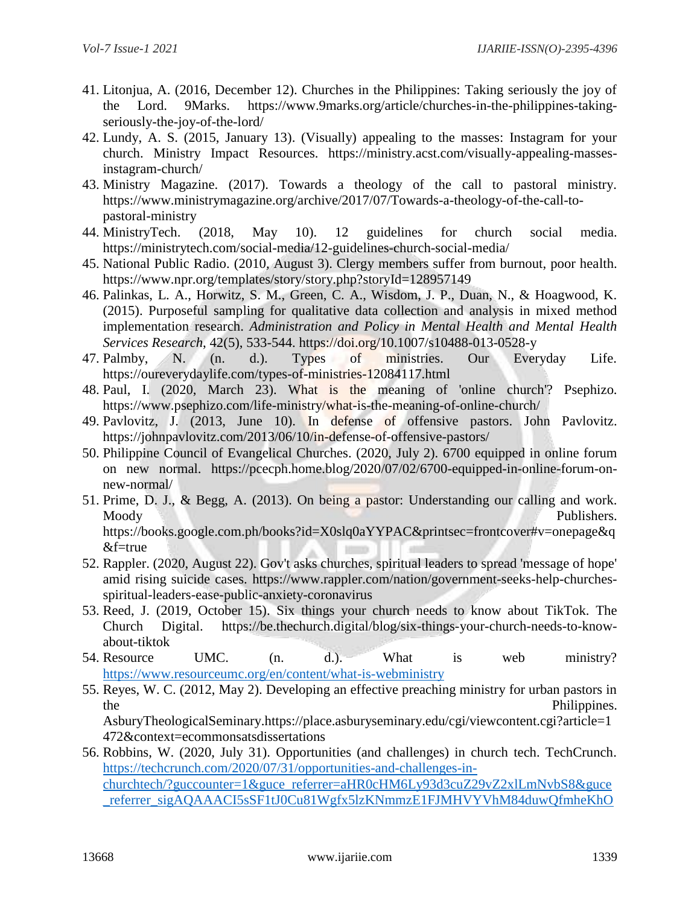- 41. Litonjua, A. (2016, December 12). Churches in the Philippines: Taking seriously the joy of the Lord. 9Marks. [https://www.9marks.org/article/churches-in-the-philippines-taking](https://www.9marks.org/article/churches-in-the-philippines-taking-seriously-the-joy-of-the-lord/)[seriously-the-joy-of-the-lord/](https://www.9marks.org/article/churches-in-the-philippines-taking-seriously-the-joy-of-the-lord/)
- 42. Lundy, A. S. (2015, January 13). (Visually) appealing to the masses: Instagram for your church. Ministry Impact Resources. [https://ministry.acst.com/visually-appealing-masses](https://ministry.acst.com/visually-appealing-masses-instagram-church/)[instagram-church/](https://ministry.acst.com/visually-appealing-masses-instagram-church/)
- 43. Ministry Magazine. (2017). Towards a theology of the call to pastoral ministry. [https://www.ministrymagazine.org/archive/2017/07/Towards-a-theology-of-the-call-to](https://www.ministrymagazine.org/archive/2017/07/Towards-a-theology-of-the-call-to-pastoral-ministry)[pastoral-ministry](https://www.ministrymagazine.org/archive/2017/07/Towards-a-theology-of-the-call-to-pastoral-ministry)
- 44. MinistryTech. (2018, May 10). 12 guidelines for church social media. <https://ministrytech.com/social-media/12-guidelines-church-social-media/>
- 45. National Public Radio. (2010, August 3). Clergy members suffer from burnout, poor health. <https://www.npr.org/templates/story/story.php?storyId=128957149>
- 46. Palinkas, L. A., Horwitz, S. M., Green, C. A., Wisdom, J. P., Duan, N., & Hoagwood, K. (2015). Purposeful sampling for qualitative data collection and analysis in mixed method implementation research. *Administration and Policy in Mental Health and Mental Health Services Research*, 42(5), 533-544.<https://doi.org/10.1007/s10488-013-0528-y>
- 47. Palmby, N. (n. d.). Types of ministries. Our Everyday Life. <https://oureverydaylife.com/types-of-ministries-12084117.html>
- 48. Paul, I. (2020, March 23). What is the meaning of 'online church'? Psephizo. <https://www.psephizo.com/life-ministry/what-is-the-meaning-of-online-church/>
- 49. Pavlovitz, J. (2013, June 10). In defense of offensive pastors. John Pavlovitz. <https://johnpavlovitz.com/2013/06/10/in-defense-of-offensive-pastors/>
- 50. Philippine Council of Evangelical Churches. (2020, July 2). 6700 equipped in online forum on new normal. [https://pcecph.home.blog/2020/07/02/6700-equipped-in-online-forum-on](https://pcecph.home.blog/2020/07/02/6700-equipped-in-online-forum-on-new-normal/)[new-normal/](https://pcecph.home.blog/2020/07/02/6700-equipped-in-online-forum-on-new-normal/)
- 51. Prime, D. J., & Begg, A. (2013). On being a pastor: Understanding our calling and work. Moody Publishers. [https://books.google.com.ph/books?id=X0slq0aYYPAC&printsec=frontcover#v=onepage&q](https://books.google.com.ph/books?id=X0slq0aYYPAC&printsec=frontcover#v=onepage&q&f=true) [&f=true](https://books.google.com.ph/books?id=X0slq0aYYPAC&printsec=frontcover#v=onepage&q&f=true)
- 52. Rappler. (2020, August 22). Gov't asks churches, spiritual leaders to spread 'message of hope' amid rising suicide cases. [https://www.rappler.com/nation/government-seeks-help-churches](https://www.rappler.com/nation/government-seeks-help-churches-spiritual-leaders-ease-public-anxiety-coronavirus)[spiritual-leaders-ease-public-anxiety-coronavirus](https://www.rappler.com/nation/government-seeks-help-churches-spiritual-leaders-ease-public-anxiety-coronavirus)
- 53. Reed, J. (2019, October 15). Six things your church needs to know about TikTok. The Church Digital. [https://be.thechurch.digital/blog/six-things-your-church-needs-to-know](https://be.thechurch.digital/blog/six-things-your-church-needs-to-know-about-tiktok)[about-tiktok](https://be.thechurch.digital/blog/six-things-your-church-needs-to-know-about-tiktok)
- 54. Resource UMC. (n. d.). What is web ministry? <https://www.resourceumc.org/en/content/what-is-webministry>
- 55. Reyes, W. C. (2012, May 2). Developing an effective preaching ministry for urban pastors in the **the Philippines.**

AsburyTheologicalSeminary[.https://place.asburyseminary.edu/cgi/viewcontent.cgi?article=1](https://place.asburyseminary.edu/cgi/viewcontent.cgi?article=1472&context=ecommonsatsdissertations) [472&context=ecommonsatsdissertations](https://place.asburyseminary.edu/cgi/viewcontent.cgi?article=1472&context=ecommonsatsdissertations)

56. Robbins, W. (2020, July 31). Opportunities (and challenges) in church tech. TechCrunch. [https://techcrunch.com/2020/07/31/opportunities-and-challenges-in](https://techcrunch.com/2020/07/31/opportunities-and-challenges-in-churchtech/?guccounter=1&guce_referrer=aHR0cHM6Ly93d3cuZ29vZ2xlLmNvbS8&guce_referrer_sigAQAAACI5sSF1tJ0Cu81Wgfx5lzKNmmzE1FJMHVYVhM84duwQfmheKhOouQqQTZ_zNvd1n2WjORFdIGxxLaUTp9mDSyMU_9BAqBazyXj6JDQMenxlJau51x7EmgjRCInDNFlL8fvc-ShApSWbHCsKVN3tY4tm6fIMDd6h3AvmJ65Ml)[churchtech/?guccounter=1&guce\\_referrer=aHR0cHM6Ly93d3cuZ29vZ2xlLmNvbS8&guce](https://techcrunch.com/2020/07/31/opportunities-and-challenges-in-churchtech/?guccounter=1&guce_referrer=aHR0cHM6Ly93d3cuZ29vZ2xlLmNvbS8&guce_referrer_sigAQAAACI5sSF1tJ0Cu81Wgfx5lzKNmmzE1FJMHVYVhM84duwQfmheKhOouQqQTZ_zNvd1n2WjORFdIGxxLaUTp9mDSyMU_9BAqBazyXj6JDQMenxlJau51x7EmgjRCInDNFlL8fvc-ShApSWbHCsKVN3tY4tm6fIMDd6h3AvmJ65Ml) [\\_referrer\\_sigAQAAACI5sSF1tJ0Cu81Wgfx5lzKNmmzE1FJMHVYVhM84duwQfmheKhO](https://techcrunch.com/2020/07/31/opportunities-and-challenges-in-churchtech/?guccounter=1&guce_referrer=aHR0cHM6Ly93d3cuZ29vZ2xlLmNvbS8&guce_referrer_sigAQAAACI5sSF1tJ0Cu81Wgfx5lzKNmmzE1FJMHVYVhM84duwQfmheKhOouQqQTZ_zNvd1n2WjORFdIGxxLaUTp9mDSyMU_9BAqBazyXj6JDQMenxlJau51x7EmgjRCInDNFlL8fvc-ShApSWbHCsKVN3tY4tm6fIMDd6h3AvmJ65Ml)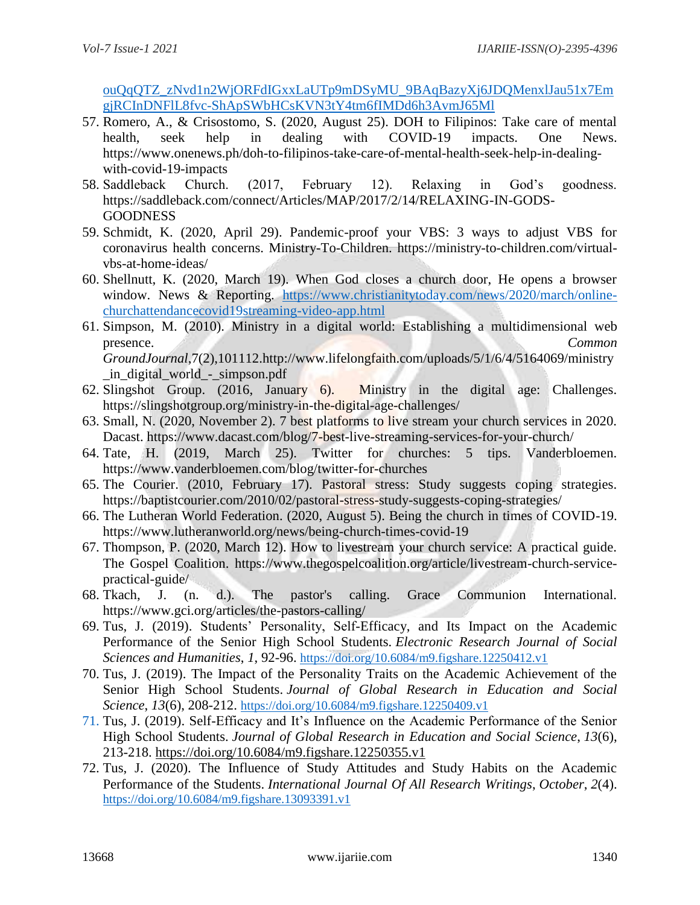[ouQqQTZ\\_zNvd1n2WjORFdIGxxLaUTp9mDSyMU\\_9BAqBazyXj6JDQMenxlJau51x7Em](https://techcrunch.com/2020/07/31/opportunities-and-challenges-in-churchtech/?guccounter=1&guce_referrer=aHR0cHM6Ly93d3cuZ29vZ2xlLmNvbS8&guce_referrer_sigAQAAACI5sSF1tJ0Cu81Wgfx5lzKNmmzE1FJMHVYVhM84duwQfmheKhOouQqQTZ_zNvd1n2WjORFdIGxxLaUTp9mDSyMU_9BAqBazyXj6JDQMenxlJau51x7EmgjRCInDNFlL8fvc-ShApSWbHCsKVN3tY4tm6fIMDd6h3AvmJ65Ml) [gjRCInDNFlL8fvc-ShApSWbHCsKVN3tY4tm6fIMDd6h3AvmJ65Ml](https://techcrunch.com/2020/07/31/opportunities-and-challenges-in-churchtech/?guccounter=1&guce_referrer=aHR0cHM6Ly93d3cuZ29vZ2xlLmNvbS8&guce_referrer_sigAQAAACI5sSF1tJ0Cu81Wgfx5lzKNmmzE1FJMHVYVhM84duwQfmheKhOouQqQTZ_zNvd1n2WjORFdIGxxLaUTp9mDSyMU_9BAqBazyXj6JDQMenxlJau51x7EmgjRCInDNFlL8fvc-ShApSWbHCsKVN3tY4tm6fIMDd6h3AvmJ65Ml)

- 57. Romero, A., & Crisostomo, S. (2020, August 25). DOH to Filipinos: Take care of mental health, seek help in dealing with COVID-19 impacts. One News. [https://www.onenews.ph/doh-to-filipinos-take-care-of-mental-health-seek-help-in-dealing](https://www.onenews.ph/doh-to-filipinos-take-care-of-mental-health-seek-help-in-dealing-with-covid-19-impacts)[with-covid-19-impacts](https://www.onenews.ph/doh-to-filipinos-take-care-of-mental-health-seek-help-in-dealing-with-covid-19-impacts)
- 58. Saddleback Church. (2017, February 12). Relaxing in God's goodness. [https://saddleback.com/connect/Articles/MAP/2017/2/14/RELAXING-IN-GODS-](https://saddleback.com/connect/Articles/MAP/2017/2/14/RELAXING-IN-GODS-GOODNESS)[GOODNESS](https://saddleback.com/connect/Articles/MAP/2017/2/14/RELAXING-IN-GODS-GOODNESS)
- 59. Schmidt, K. (2020, April 29). Pandemic-proof your VBS: 3 ways to adjust VBS for coronavirus health concerns. Ministry-To-Children. [https://ministry-to-children.com/virtual](https://ministry-to-children.com/virtual-vbs-at-home-ideas/)[vbs-at-home-ideas/](https://ministry-to-children.com/virtual-vbs-at-home-ideas/)
- 60. Shellnutt, K. (2020, March 19). When God closes a church door, He opens a browser window. News & Reporting. [https://www.christianitytoday.com/news/2020/march/online](https://www.christianitytoday.com/news/2020/march/online-churchattendancecovid19streaming-video-app.html)[churchattendancecovid19streaming-video-app.html](https://www.christianitytoday.com/news/2020/march/online-churchattendancecovid19streaming-video-app.html)
- 61. Simpson, M. (2010). Ministry in a digital world: Establishing a multidimensional web presence. *Common GroundJournal*,7(2),101112[.http://www.lifelongfaith.com/uploads/5/1/6/4/5164069/ministry](http://www.lifelongfaith.com/uploads/5/1/6/4/5164069/ministry_in_digital_world_-_simpson.pdf) [\\_in\\_digital\\_world\\_-\\_simpson.pdf](http://www.lifelongfaith.com/uploads/5/1/6/4/5164069/ministry_in_digital_world_-_simpson.pdf)
- 62. Slingshot Group. (2016, January 6). Ministry in the digital age: Challenges. <https://slingshotgroup.org/ministry-in-the-digital-age-challenges/>
- 63. Small, N. (2020, November 2). 7 best platforms to live stream your church services in 2020. Dacast.<https://www.dacast.com/blog/7-best-live-streaming-services-for-your-church/>
- 64. Tate, H. (2019, March 25). Twitter for churches: 5 tips. Vanderbloemen. <https://www.vanderbloemen.com/blog/twitter-for-churches>
- 65. The Courier. (2010, February 17). Pastoral stress: Study suggests coping strategies. <https://baptistcourier.com/2010/02/pastoral-stress-study-suggests-coping-strategies/>
- 66. The Lutheran World Federation. (2020, August 5). Being the church in times of COVID-19. <https://www.lutheranworld.org/news/being-church-times-covid-19>
- 67. Thompson, P. (2020, March 12). How to livestream your church service: A practical guide. The Gospel Coalition. [https://www.thegospelcoalition.org/article/livestream-church-service](https://www.thegospelcoalition.org/article/livestream-church-service-practical-guide/)[practical-guide/](https://www.thegospelcoalition.org/article/livestream-church-service-practical-guide/)
- 68. Tkach, J. (n. d.). The pastor's calling. Grace Communion International. <https://www.gci.org/articles/the-pastors-calling/>
- 69. Tus, J. (2019). Students' Personality, Self-Efficacy, and Its Impact on the Academic Performance of the Senior High School Students. *Electronic Research Journal of Social Sciences and Humanities*, *1*, 92-96. <https://doi.org/10.6084/m9.figshare.12250412.v1>
- 70. Tus, J. (2019). The Impact of the Personality Traits on the Academic Achievement of the Senior High School Students. *Journal of Global Research in Education and Social Science*, *13*(6), 208-212. <https://doi.org/10.6084/m9.figshare.12250409.v1>
- 71. Tus, J. (2019). Self-Efficacy and It's Influence on the Academic Performance of the Senior High School Students. *Journal of Global Research in Education and Social Science*, *13*(6), 213-218.<https://doi.org/10.6084/m9.figshare.12250355.v1>
- 72. Tus, J. (2020). The Influence of Study Attitudes and Study Habits on the Academic Performance of the Students. *International Journal Of All Research Writings*, *October*, *2*(4). <https://doi.org/10.6084/m9.figshare.13093391.v1>